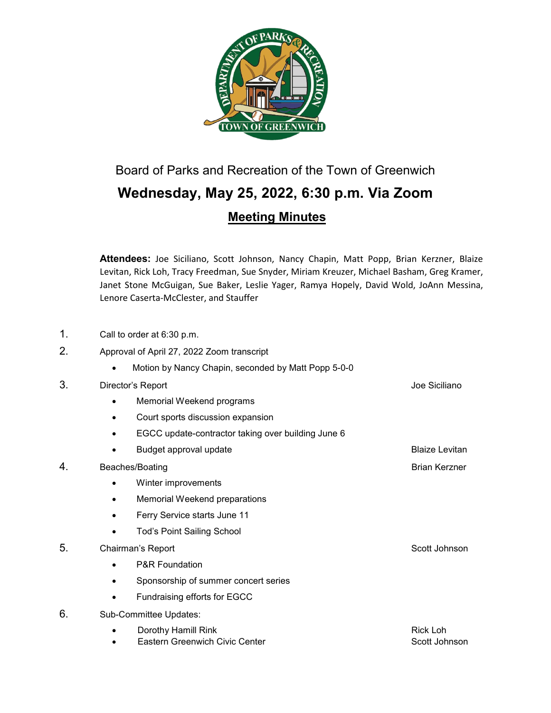

# Board of Parks and Recreation of the Town of Greenwich **Wednesday, May 25, 2022, 6:30 p.m. Via Zoom Meeting Minutes**

**Attendees:** Joe Siciliano, Scott Johnson, Nancy Chapin, Matt Popp, Brian Kerzner, Blaize Levitan, Rick Loh, Tracy Freedman, Sue Snyder, Miriam Kreuzer, Michael Basham, Greg Kramer, Janet Stone McGuigan, Sue Baker, Leslie Yager, Ramya Hopely, David Wold, JoAnn Messina, Lenore Caserta-McClester, and Stauffer

- 1. Call to order at 6:30 p.m.
- 2. Approval of April 27, 2022 Zoom transcript
	- Motion by Nancy Chapin, seconded by Matt Popp 5-0-0

# 3. Director's Report **Director's Report** Accounts and Accounts and Accounts and Accounts and Accounts and Accounts and Accounts and Accounts and Accounts and Accounts and Accounts and Accounts and Accounts and Accounts and

- Memorial Weekend programs
- Court sports discussion expansion
- EGCC update-contractor taking over building June 6
- Budget approval update **Blaize Levitan** Blaize Levitan
- 4. Beaches/Boating Brian Kerzner Brian Kerzner
	- Winter improvements
	- Memorial Weekend preparations
	- Ferry Service starts June 11
	- Tod's Point Sailing School

- P&R Foundation
- Sponsorship of summer concert series
- Fundraising efforts for EGCC
- 6. Sub-Committee Updates:

| Dorothy Hamill Rink            | Rick Loh      |
|--------------------------------|---------------|
| Eastern Greenwich Civic Center | Scott Johnson |

5. Chairman's Report **Scott Johnson** Scott Johnson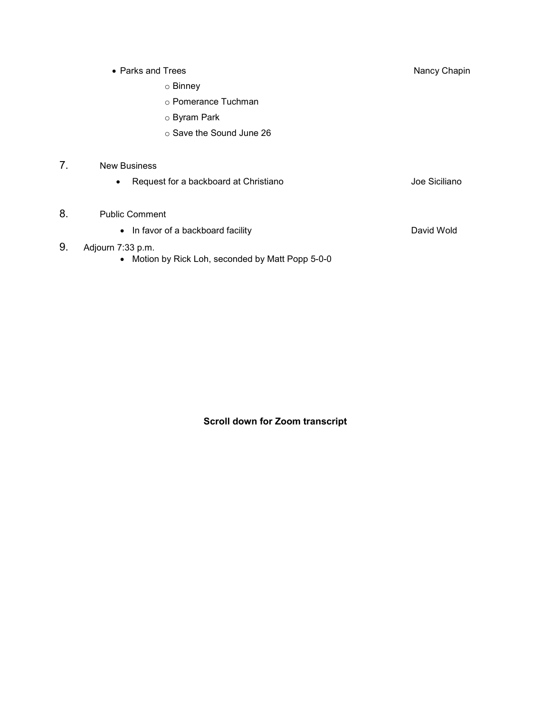• Parks and Trees Nancy Chapin Nancy Chapin

o Binney

o Pomerance Tuchman

o Byram Park

o Save the Sound June 26

# 7. New Business

• Request for a backboard at Christiano **Christiano** Joe Siciliano

# 8. Public Comment

• In favor of a backboard facility **David Wold** 

# 9. Adjourn 7:33 p.m.

• Motion by Rick Loh, seconded by Matt Popp 5-0-0

**Scroll down for Zoom transcript**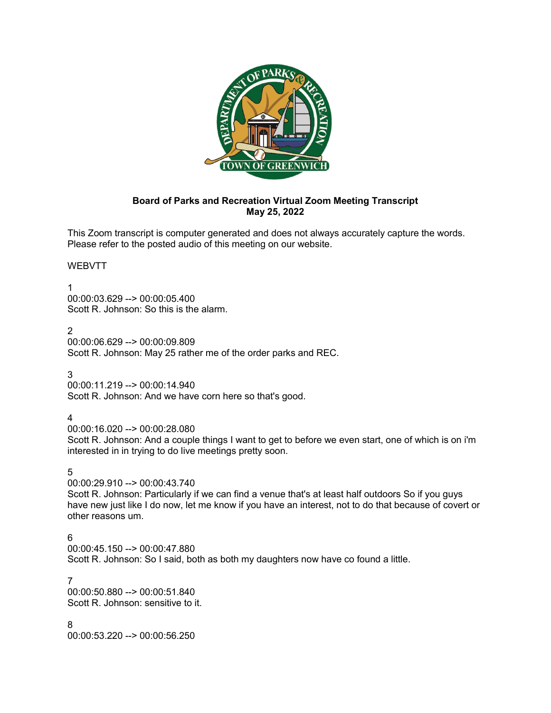

# **Board of Parks and Recreation Virtual Zoom Meeting Transcript May 25, 2022**

This Zoom transcript is computer generated and does not always accurately capture the words. Please refer to the posted audio of this meeting on our website.

# WEBVTT

1

00:00:03.629 --> 00:00:05.400 Scott R. Johnson: So this is the alarm.

 $\mathfrak{D}$ 

00:00:06.629 --> 00:00:09.809 Scott R. Johnson: May 25 rather me of the order parks and REC.

3

00:00:11.219 --> 00:00:14.940 Scott R. Johnson: And we have corn here so that's good.

# 4

00:00:16.020 --> 00:00:28.080

Scott R. Johnson: And a couple things I want to get to before we even start, one of which is on i'm interested in in trying to do live meetings pretty soon.

5

00:00:29.910 --> 00:00:43.740

Scott R. Johnson: Particularly if we can find a venue that's at least half outdoors So if you guys have new just like I do now, let me know if you have an interest, not to do that because of covert or other reasons um.

# 6

00:00:45.150 --> 00:00:47.880 Scott R. Johnson: So I said, both as both my daughters now have co found a little.

7

00:00:50.880 --> 00:00:51.840 Scott R. Johnson: sensitive to it.

8

00:00:53.220 --> 00:00:56.250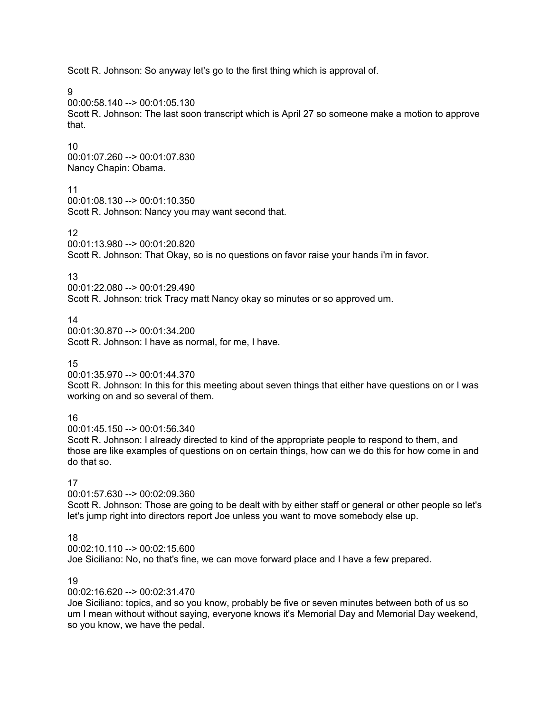Scott R. Johnson: So anyway let's go to the first thing which is approval of.

9

00:00:58.140 --> 00:01:05.130

Scott R. Johnson: The last soon transcript which is April 27 so someone make a motion to approve that.

#### 10

00:01:07.260 --> 00:01:07.830 Nancy Chapin: Obama.

# 11

00:01:08.130 --> 00:01:10.350 Scott R. Johnson: Nancy you may want second that.

# 12

00:01:13.980 --> 00:01:20.820

Scott R. Johnson: That Okay, so is no questions on favor raise your hands i'm in favor.

#### 13

00:01:22.080 --> 00:01:29.490 Scott R. Johnson: trick Tracy matt Nancy okay so minutes or so approved um.

#### 14

00:01:30.870 --> 00:01:34.200 Scott R. Johnson: I have as normal, for me, I have.

#### 15

00:01:35.970 --> 00:01:44.370

Scott R. Johnson: In this for this meeting about seven things that either have questions on or I was working on and so several of them.

# 16

00:01:45.150 --> 00:01:56.340 Scott R. Johnson: I already directed to kind of the appropriate people to respond to them, and those are like examples of questions on on certain things, how can we do this for how come in and

# 17

do that so.

00:01:57.630 --> 00:02:09.360

Scott R. Johnson: Those are going to be dealt with by either staff or general or other people so let's let's jump right into directors report Joe unless you want to move somebody else up.

# 18

00:02:10.110 --> 00:02:15.600 Joe Siciliano: No, no that's fine, we can move forward place and I have a few prepared.

# 19

00:02:16.620 --> 00:02:31.470

Joe Siciliano: topics, and so you know, probably be five or seven minutes between both of us so um I mean without without saying, everyone knows it's Memorial Day and Memorial Day weekend, so you know, we have the pedal.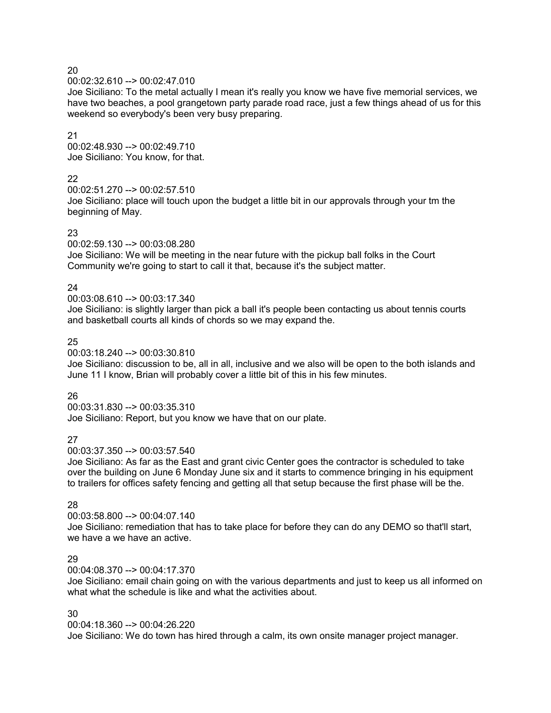00:02:32.610 --> 00:02:47.010

Joe Siciliano: To the metal actually I mean it's really you know we have five memorial services, we have two beaches, a pool grangetown party parade road race, just a few things ahead of us for this weekend so everybody's been very busy preparing.

#### 21

00:02:48.930 --> 00:02:49.710 Joe Siciliano: You know, for that.

# 22

00:02:51.270 --> 00:02:57.510

Joe Siciliano: place will touch upon the budget a little bit in our approvals through your tm the beginning of May.

# 23

00:02:59.130 --> 00:03:08.280

Joe Siciliano: We will be meeting in the near future with the pickup ball folks in the Court Community we're going to start to call it that, because it's the subject matter.

# 24

00:03:08.610 --> 00:03:17.340

Joe Siciliano: is slightly larger than pick a ball it's people been contacting us about tennis courts and basketball courts all kinds of chords so we may expand the.

# 25

00:03:18.240 --> 00:03:30.810

Joe Siciliano: discussion to be, all in all, inclusive and we also will be open to the both islands and June 11 I know, Brian will probably cover a little bit of this in his few minutes.

# 26

00:03:31.830 --> 00:03:35.310 Joe Siciliano: Report, but you know we have that on our plate.

# 27

00:03:37.350 --> 00:03:57.540

Joe Siciliano: As far as the East and grant civic Center goes the contractor is scheduled to take over the building on June 6 Monday June six and it starts to commence bringing in his equipment to trailers for offices safety fencing and getting all that setup because the first phase will be the.

# 28

00:03:58.800 --> 00:04:07.140

Joe Siciliano: remediation that has to take place for before they can do any DEMO so that'll start, we have a we have an active.

# 29

00:04:08.370 --> 00:04:17.370

Joe Siciliano: email chain going on with the various departments and just to keep us all informed on what what the schedule is like and what the activities about.

# 30

00:04:18.360 --> 00:04:26.220

Joe Siciliano: We do town has hired through a calm, its own onsite manager project manager.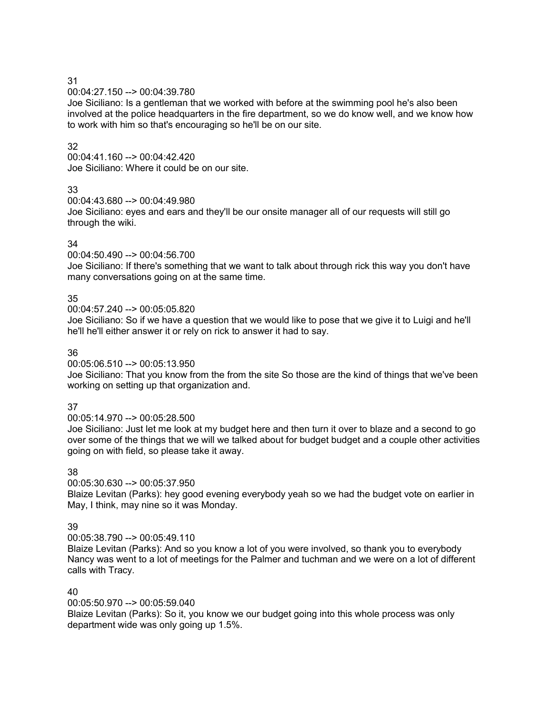00:04:27.150 --> 00:04:39.780

Joe Siciliano: Is a gentleman that we worked with before at the swimming pool he's also been involved at the police headquarters in the fire department, so we do know well, and we know how to work with him so that's encouraging so he'll be on our site.

# 32

00:04:41.160 --> 00:04:42.420 Joe Siciliano: Where it could be on our site.

# 33

00:04:43.680 --> 00:04:49.980

Joe Siciliano: eyes and ears and they'll be our onsite manager all of our requests will still go through the wiki.

# 34

00:04:50.490 --> 00:04:56.700

Joe Siciliano: If there's something that we want to talk about through rick this way you don't have many conversations going on at the same time.

# 35

00:04:57.240 --> 00:05:05.820

Joe Siciliano: So if we have a question that we would like to pose that we give it to Luigi and he'll he'll he'll either answer it or rely on rick to answer it had to say.

# 36

00:05:06.510 --> 00:05:13.950

Joe Siciliano: That you know from the from the site So those are the kind of things that we've been working on setting up that organization and.

# 37

00:05:14.970 --> 00:05:28.500

Joe Siciliano: Just let me look at my budget here and then turn it over to blaze and a second to go over some of the things that we will we talked about for budget budget and a couple other activities going on with field, so please take it away.

# 38

00:05:30.630 --> 00:05:37.950

Blaize Levitan (Parks): hey good evening everybody yeah so we had the budget vote on earlier in May, I think, may nine so it was Monday.

# 39

00:05:38.790 --> 00:05:49.110

Blaize Levitan (Parks): And so you know a lot of you were involved, so thank you to everybody Nancy was went to a lot of meetings for the Palmer and tuchman and we were on a lot of different calls with Tracy.

# 40

00:05:50.970 --> 00:05:59.040

Blaize Levitan (Parks): So it, you know we our budget going into this whole process was only department wide was only going up 1.5%.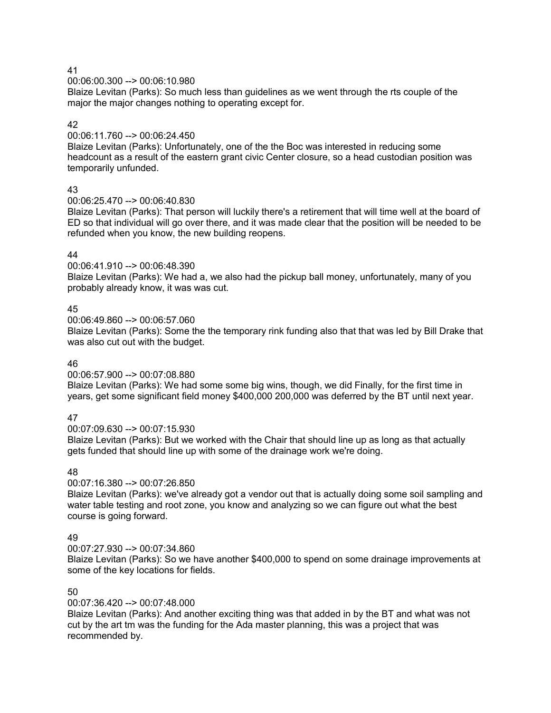00:06:00.300 --> 00:06:10.980

Blaize Levitan (Parks): So much less than guidelines as we went through the rts couple of the major the major changes nothing to operating except for.

# 42

00:06:11.760 --> 00:06:24.450

Blaize Levitan (Parks): Unfortunately, one of the the Boc was interested in reducing some headcount as a result of the eastern grant civic Center closure, so a head custodian position was temporarily unfunded.

# 43

00:06:25.470 --> 00:06:40.830

Blaize Levitan (Parks): That person will luckily there's a retirement that will time well at the board of ED so that individual will go over there, and it was made clear that the position will be needed to be refunded when you know, the new building reopens.

# 44

00:06:41.910 --> 00:06:48.390

Blaize Levitan (Parks): We had a, we also had the pickup ball money, unfortunately, many of you probably already know, it was was cut.

# 45

00:06:49.860 --> 00:06:57.060

Blaize Levitan (Parks): Some the the temporary rink funding also that that was led by Bill Drake that was also cut out with the budget.

# 46

00:06:57.900 --> 00:07:08.880

Blaize Levitan (Parks): We had some some big wins, though, we did Finally, for the first time in years, get some significant field money \$400,000 200,000 was deferred by the BT until next year.

# 47

00:07:09.630 --> 00:07:15.930

Blaize Levitan (Parks): But we worked with the Chair that should line up as long as that actually gets funded that should line up with some of the drainage work we're doing.

# 48

00:07:16.380 --> 00:07:26.850

Blaize Levitan (Parks): we've already got a vendor out that is actually doing some soil sampling and water table testing and root zone, you know and analyzing so we can figure out what the best course is going forward.

# 49

00:07:27.930 --> 00:07:34.860

Blaize Levitan (Parks): So we have another \$400,000 to spend on some drainage improvements at some of the key locations for fields.

# 50

00:07:36.420 --> 00:07:48.000

Blaize Levitan (Parks): And another exciting thing was that added in by the BT and what was not cut by the art tm was the funding for the Ada master planning, this was a project that was recommended by.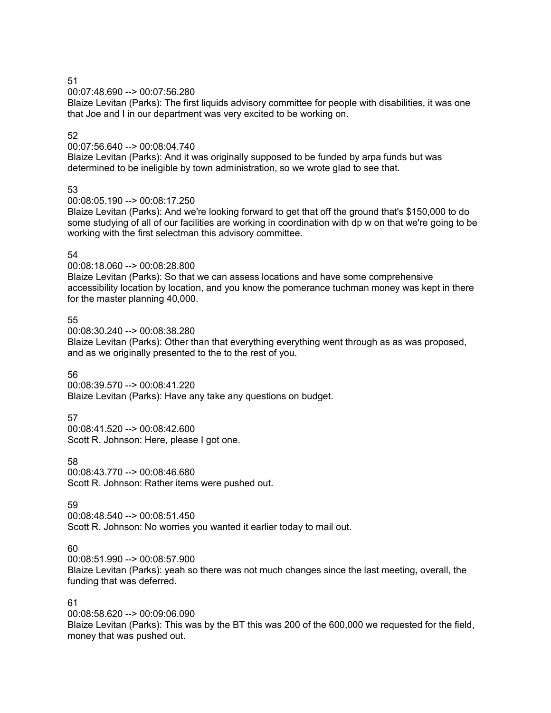00:07:48.690 --> 00:07:56.280

Blaize Levitan (Parks): The first liquids advisory committee for people with disabilities, it was one that Joe and I in our department was very excited to be working on.

# 52

00:07:56.640 --> 00:08:04.740

Blaize Levitan (Parks): And it was originally supposed to be funded by arpa funds but was determined to be ineligible by town administration, so we wrote glad to see that.

# 53

00:08:05.190 --> 00:08:17.250

Blaize Levitan (Parks): And we're looking forward to get that off the ground that's \$150,000 to do some studying of all of our facilities are working in coordination with dp w on that we're going to be working with the first selectman this advisory committee.

# 54

00:08:18.060 --> 00:08:28.800

Blaize Levitan (Parks): So that we can assess locations and have some comprehensive accessibility location by location, and you know the pomerance tuchman money was kept in there for the master planning 40,000.

55

00:08:30.240 --> 00:08:38.280

Blaize Levitan (Parks): Other than that everything everything went through as as was proposed, and as we originally presented to the to the rest of you.

# 56

00:08:39.570 --> 00:08:41.220 Blaize Levitan (Parks): Have any take any questions on budget.

# 57

00:08:41.520 --> 00:08:42.600 Scott R. Johnson: Here, please I got one.

58

00:08:43.770 --> 00:08:46.680 Scott R. Johnson: Rather items were pushed out.

# 59

00:08:48.540 --> 00:08:51.450 Scott R. Johnson: No worries you wanted it earlier today to mail out.

# $60$

00:08:51.990 --> 00:08:57.900

Blaize Levitan (Parks): yeah so there was not much changes since the last meeting, overall, the funding that was deferred.

# 61

00:08:58.620 --> 00:09:06.090 Blaize Levitan (Parks): This was by the BT this was 200 of the 600,000 we requested for the field, money that was pushed out.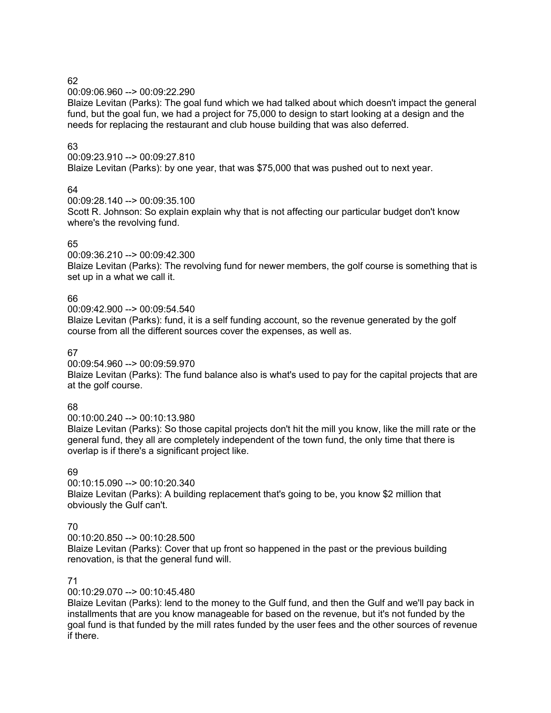00:09:06.960 --> 00:09:22.290

Blaize Levitan (Parks): The goal fund which we had talked about which doesn't impact the general fund, but the goal fun, we had a project for 75,000 to design to start looking at a design and the needs for replacing the restaurant and club house building that was also deferred.

# 63

00:09:23.910 --> 00:09:27.810 Blaize Levitan (Parks): by one year, that was \$75,000 that was pushed out to next year.

# 64

00:09:28.140 --> 00:09:35.100

Scott R. Johnson: So explain explain why that is not affecting our particular budget don't know where's the revolving fund.

# 65

00:09:36.210 --> 00:09:42.300

Blaize Levitan (Parks): The revolving fund for newer members, the golf course is something that is set up in a what we call it.

# 66

00:09:42.900 --> 00:09:54.540

Blaize Levitan (Parks): fund, it is a self funding account, so the revenue generated by the golf course from all the different sources cover the expenses, as well as.

# 67

00:09:54.960 --> 00:09:59.970

Blaize Levitan (Parks): The fund balance also is what's used to pay for the capital projects that are at the golf course.

# 68

00:10:00.240 --> 00:10:13.980

Blaize Levitan (Parks): So those capital projects don't hit the mill you know, like the mill rate or the general fund, they all are completely independent of the town fund, the only time that there is overlap is if there's a significant project like.

# 69

00:10:15.090 --> 00:10:20.340 Blaize Levitan (Parks): A building replacement that's going to be, you know \$2 million that obviously the Gulf can't.

# 70

 $00:10:20.850 \rightarrow 00:10:28.500$ Blaize Levitan (Parks): Cover that up front so happened in the past or the previous building renovation, is that the general fund will.

# 71

00:10:29.070 --> 00:10:45.480

Blaize Levitan (Parks): lend to the money to the Gulf fund, and then the Gulf and we'll pay back in installments that are you know manageable for based on the revenue, but it's not funded by the goal fund is that funded by the mill rates funded by the user fees and the other sources of revenue if there.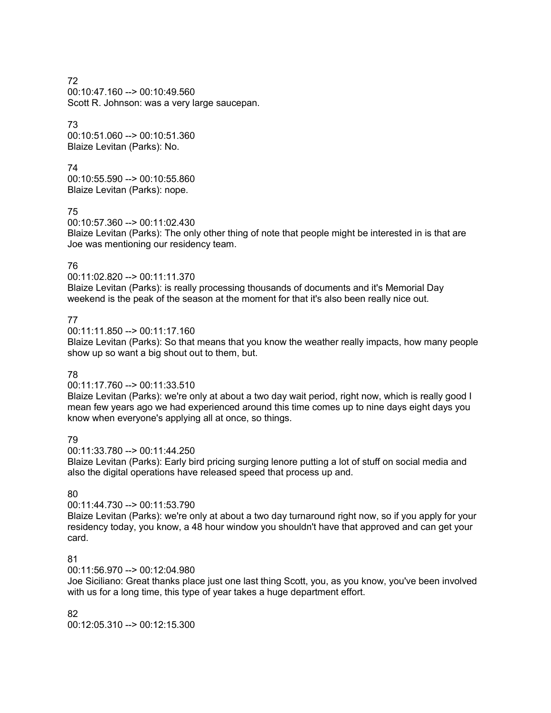72 00:10:47.160 --> 00:10:49.560 Scott R. Johnson: was a very large saucepan.

73 00:10:51.060 --> 00:10:51.360 Blaize Levitan (Parks): No.

74 00:10:55.590 --> 00:10:55.860 Blaize Levitan (Parks): nope.

75

00:10:57.360 --> 00:11:02.430

Blaize Levitan (Parks): The only other thing of note that people might be interested in is that are Joe was mentioning our residency team.

# 76

00:11:02.820 --> 00:11:11.370

Blaize Levitan (Parks): is really processing thousands of documents and it's Memorial Day weekend is the peak of the season at the moment for that it's also been really nice out.

# 77

 $00:11:11.850 \rightarrow 00:11:17.160$ 

Blaize Levitan (Parks): So that means that you know the weather really impacts, how many people show up so want a big shout out to them, but.

# 78

# 00:11:17.760 --> 00:11:33.510

Blaize Levitan (Parks): we're only at about a two day wait period, right now, which is really good I mean few years ago we had experienced around this time comes up to nine days eight days you know when everyone's applying all at once, so things.

# 79

00:11:33.780 --> 00:11:44.250

Blaize Levitan (Parks): Early bird pricing surging lenore putting a lot of stuff on social media and also the digital operations have released speed that process up and.

# 80

# 00:11:44.730 --> 00:11:53.790

Blaize Levitan (Parks): we're only at about a two day turnaround right now, so if you apply for your residency today, you know, a 48 hour window you shouldn't have that approved and can get your card.

# 81

00:11:56.970 --> 00:12:04.980

Joe Siciliano: Great thanks place just one last thing Scott, you, as you know, you've been involved with us for a long time, this type of year takes a huge department effort.

# 82

00:12:05.310 --> 00:12:15.300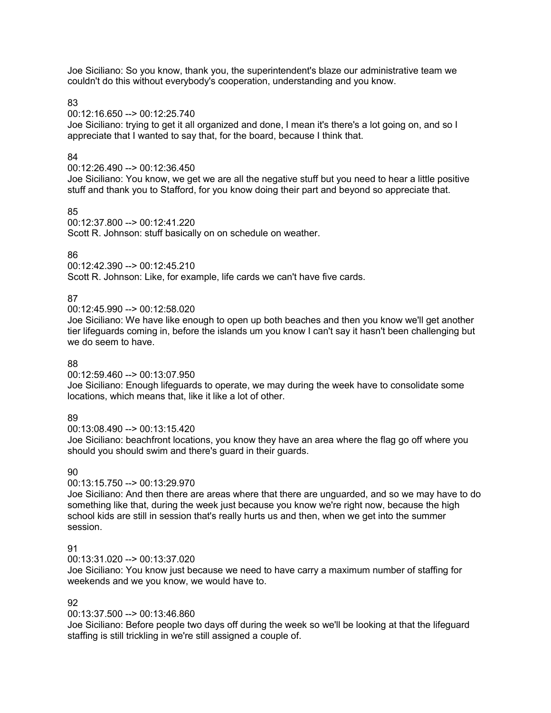Joe Siciliano: So you know, thank you, the superintendent's blaze our administrative team we couldn't do this without everybody's cooperation, understanding and you know.

83

00:12:16.650 --> 00:12:25.740

Joe Siciliano: trying to get it all organized and done, I mean it's there's a lot going on, and so I appreciate that I wanted to say that, for the board, because I think that.

# 84

00:12:26.490 --> 00:12:36.450

Joe Siciliano: You know, we get we are all the negative stuff but you need to hear a little positive stuff and thank you to Stafford, for you know doing their part and beyond so appreciate that.

#### 85

00:12:37.800 --> 00:12:41.220 Scott R. Johnson: stuff basically on on schedule on weather.

#### 86

00:12:42.390 --> 00:12:45.210

Scott R. Johnson: Like, for example, life cards we can't have five cards.

# 87

00:12:45.990 --> 00:12:58.020

Joe Siciliano: We have like enough to open up both beaches and then you know we'll get another tier lifeguards coming in, before the islands um you know I can't say it hasn't been challenging but we do seem to have.

# 88

00:12:59.460 --> 00:13:07.950

Joe Siciliano: Enough lifeguards to operate, we may during the week have to consolidate some locations, which means that, like it like a lot of other.

# 89

00:13:08.490 --> 00:13:15.420

Joe Siciliano: beachfront locations, you know they have an area where the flag go off where you should you should swim and there's guard in their guards.

# 90

00:13:15.750 --> 00:13:29.970

Joe Siciliano: And then there are areas where that there are unguarded, and so we may have to do something like that, during the week just because you know we're right now, because the high school kids are still in session that's really hurts us and then, when we get into the summer session.

# **91**

00:13:31.020 --> 00:13:37.020

Joe Siciliano: You know just because we need to have carry a maximum number of staffing for weekends and we you know, we would have to.

# 92

00:13:37.500 --> 00:13:46.860

Joe Siciliano: Before people two days off during the week so we'll be looking at that the lifeguard staffing is still trickling in we're still assigned a couple of.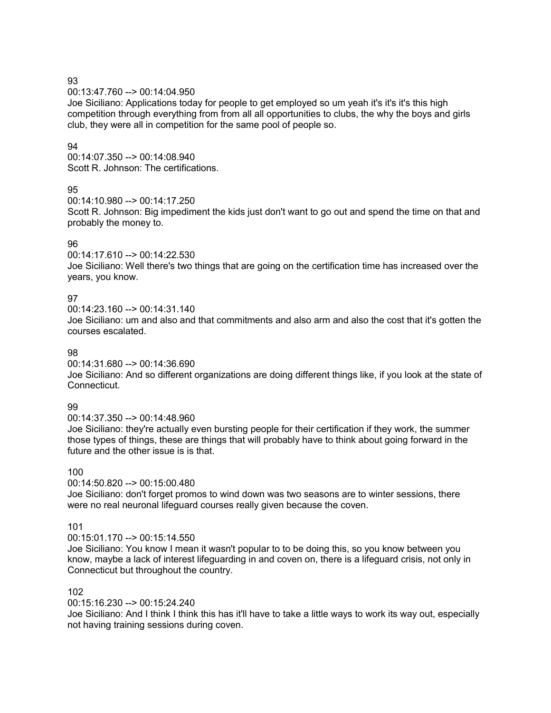00:13:47.760 --> 00:14:04.950

Joe Siciliano: Applications today for people to get employed so um yeah it's it's it's this high competition through everything from from all all opportunities to clubs, the why the boys and girls club, they were all in competition for the same pool of people so.

# 94

00:14:07.350 --> 00:14:08.940 Scott R. Johnson: The certifications.

# 95

00:14:10.980 --> 00:14:17.250

Scott R. Johnson: Big impediment the kids just don't want to go out and spend the time on that and probably the money to.

# 96

00:14:17.610 --> 00:14:22.530 Joe Siciliano: Well there's two things that are going on the certification time has increased over the years, you know.

# 97

00:14:23.160 --> 00:14:31.140

Joe Siciliano: um and also and that commitments and also arm and also the cost that it's gotten the courses escalated.

# 98

00:14:31.680 --> 00:14:36.690

Joe Siciliano: And so different organizations are doing different things like, if you look at the state of Connecticut.

# 99

00:14:37.350 --> 00:14:48.960

Joe Siciliano: they're actually even bursting people for their certification if they work, the summer those types of things, these are things that will probably have to think about going forward in the future and the other issue is is that.

# 100

00:14:50.820 --> 00:15:00.480

Joe Siciliano: don't forget promos to wind down was two seasons are to winter sessions, there were no real neuronal lifeguard courses really given because the coven.

# 101

 $00:15:01.170 \rightarrow 00:15:14.550$ 

Joe Siciliano: You know I mean it wasn't popular to to be doing this, so you know between you know, maybe a lack of interest lifeguarding in and coven on, there is a lifeguard crisis, not only in Connecticut but throughout the country.

# 102

00:15:16.230 --> 00:15:24.240

Joe Siciliano: And I think I think this has it'll have to take a little ways to work its way out, especially not having training sessions during coven.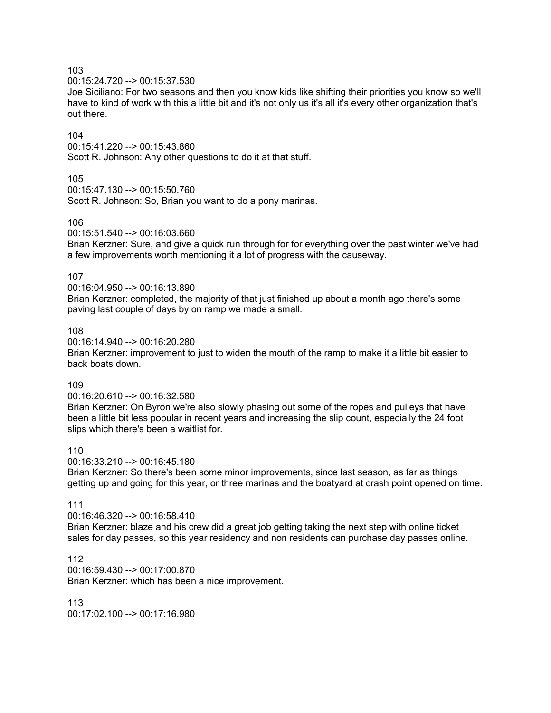00:15:24.720 --> 00:15:37.530

Joe Siciliano: For two seasons and then you know kids like shifting their priorities you know so we'll have to kind of work with this a little bit and it's not only us it's all it's every other organization that's out there.

#### 104

00:15:41.220 --> 00:15:43.860 Scott R. Johnson: Any other questions to do it at that stuff.

#### 105

00:15:47.130 --> 00:15:50.760 Scott R. Johnson: So, Brian you want to do a pony marinas.

#### 106

00:15:51.540 --> 00:16:03.660

Brian Kerzner: Sure, and give a quick run through for for everything over the past winter we've had a few improvements worth mentioning it a lot of progress with the causeway.

#### 107

00:16:04.950 --> 00:16:13.890

Brian Kerzner: completed, the majority of that just finished up about a month ago there's some paving last couple of days by on ramp we made a small.

#### 108

00:16:14.940 --> 00:16:20.280

Brian Kerzner: improvement to just to widen the mouth of the ramp to make it a little bit easier to back boats down.

#### 109

00:16:20.610 --> 00:16:32.580

Brian Kerzner: On Byron we're also slowly phasing out some of the ropes and pulleys that have been a little bit less popular in recent years and increasing the slip count, especially the 24 foot slips which there's been a waitlist for.

# 110

00:16:33.210 --> 00:16:45.180

Brian Kerzner: So there's been some minor improvements, since last season, as far as things getting up and going for this year, or three marinas and the boatyard at crash point opened on time.

# 111

00:16:46.320 --> 00:16:58.410

Brian Kerzner: blaze and his crew did a great job getting taking the next step with online ticket sales for day passes, so this year residency and non residents can purchase day passes online.

112 00:16:59.430 --> 00:17:00.870 Brian Kerzner: which has been a nice improvement.

113 00:17:02.100 --> 00:17:16.980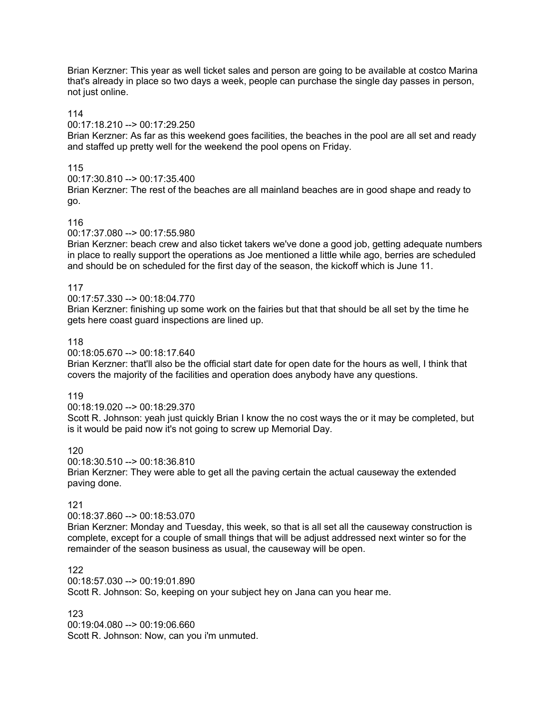Brian Kerzner: This year as well ticket sales and person are going to be available at costco Marina that's already in place so two days a week, people can purchase the single day passes in person, not just online.

# 114

#### 00:17:18.210 --> 00:17:29.250

Brian Kerzner: As far as this weekend goes facilities, the beaches in the pool are all set and ready and staffed up pretty well for the weekend the pool opens on Friday.

# 115

00:17:30.810 --> 00:17:35.400

Brian Kerzner: The rest of the beaches are all mainland beaches are in good shape and ready to go.

#### 116

#### 00:17:37.080 --> 00:17:55.980

Brian Kerzner: beach crew and also ticket takers we've done a good job, getting adequate numbers in place to really support the operations as Joe mentioned a little while ago, berries are scheduled and should be on scheduled for the first day of the season, the kickoff which is June 11.

#### 117

# 00:17:57.330 --> 00:18:04.770

Brian Kerzner: finishing up some work on the fairies but that that should be all set by the time he gets here coast guard inspections are lined up.

#### 118

00:18:05.670 --> 00:18:17.640

Brian Kerzner: that'll also be the official start date for open date for the hours as well, I think that covers the majority of the facilities and operation does anybody have any questions.

#### 119

00:18:19.020 --> 00:18:29.370

Scott R. Johnson: yeah just quickly Brian I know the no cost ways the or it may be completed, but is it would be paid now it's not going to screw up Memorial Day.

# 120

00:18:30.510 --> 00:18:36.810

Brian Kerzner: They were able to get all the paving certain the actual causeway the extended paving done.

# 121

#### 00:18:37.860 --> 00:18:53.070

Brian Kerzner: Monday and Tuesday, this week, so that is all set all the causeway construction is complete, except for a couple of small things that will be adjust addressed next winter so for the remainder of the season business as usual, the causeway will be open.

#### 122

00:18:57.030 --> 00:19:01.890 Scott R. Johnson: So, keeping on your subject hey on Jana can you hear me.

# 123

00:19:04.080 --> 00:19:06.660 Scott R. Johnson: Now, can you i'm unmuted.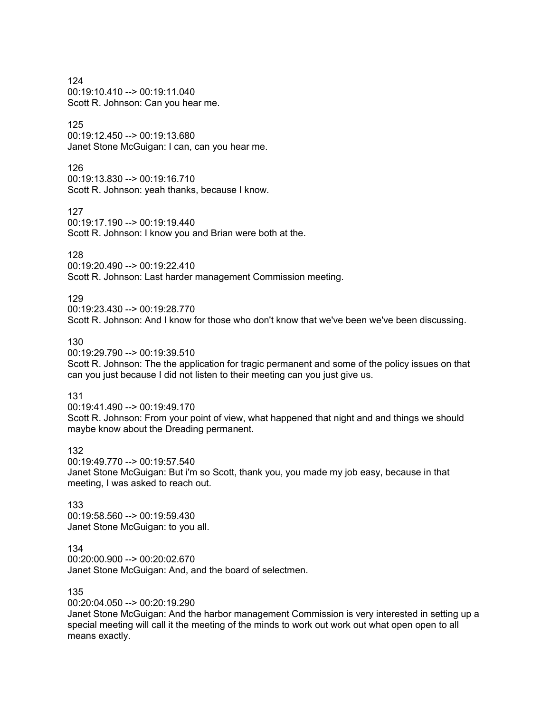124 00:19:10.410 --> 00:19:11.040 Scott R. Johnson: Can you hear me.

# 125

00:19:12.450 --> 00:19:13.680 Janet Stone McGuigan: I can, can you hear me.

#### 126

00:19:13.830 --> 00:19:16.710 Scott R. Johnson: yeah thanks, because I know.

#### 127

00:19:17.190 --> 00:19:19.440 Scott R. Johnson: I know you and Brian were both at the.

#### 128

00:19:20.490 --> 00:19:22.410 Scott R. Johnson: Last harder management Commission meeting.

#### 129

00:19:23.430 --> 00:19:28.770 Scott R. Johnson: And I know for those who don't know that we've been we've been discussing.

# 130

00:19:29.790 --> 00:19:39.510 Scott R. Johnson: The the application for tragic permanent and some of the policy issues on that can you just because I did not listen to their meeting can you just give us.

#### 131

00:19:41.490 --> 00:19:49.170 Scott R. Johnson: From your point of view, what happened that night and and things we should maybe know about the Dreading permanent.

#### 132

00:19:49.770 --> 00:19:57.540 Janet Stone McGuigan: But i'm so Scott, thank you, you made my job easy, because in that meeting, I was asked to reach out.

#### 133 00:19:58.560 --> 00:19:59.430 Janet Stone McGuigan: to you all.

#### 134

00:20:00.900 --> 00:20:02.670 Janet Stone McGuigan: And, and the board of selectmen.

#### 135

00:20:04.050 --> 00:20:19.290

Janet Stone McGuigan: And the harbor management Commission is very interested in setting up a special meeting will call it the meeting of the minds to work out work out what open open to all means exactly.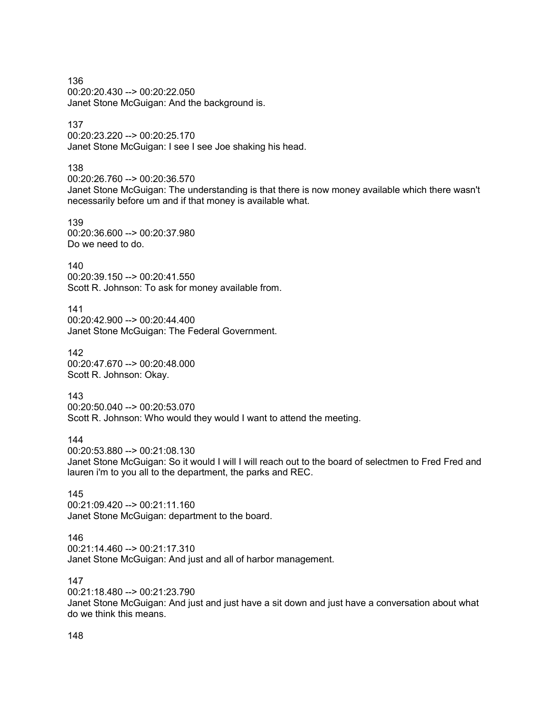136 00:20:20.430 --> 00:20:22.050 Janet Stone McGuigan: And the background is.

# 137

00:20:23.220 --> 00:20:25.170 Janet Stone McGuigan: I see I see Joe shaking his head.

#### 138

00:20:26.760 --> 00:20:36.570

Janet Stone McGuigan: The understanding is that there is now money available which there wasn't necessarily before um and if that money is available what.

# 139

00:20:36.600 --> 00:20:37.980 Do we need to do.

140 00:20:39.150 --> 00:20:41.550 Scott R. Johnson: To ask for money available from.

141 00:20:42.900 --> 00:20:44.400 Janet Stone McGuigan: The Federal Government.

142 00:20:47.670 --> 00:20:48.000 Scott R. Johnson: Okay.

143 00:20:50.040 --> 00:20:53.070 Scott R. Johnson: Who would they would I want to attend the meeting.

144

00:20:53.880 --> 00:21:08.130

Janet Stone McGuigan: So it would I will I will reach out to the board of selectmen to Fred Fred and lauren i'm to you all to the department, the parks and REC.

145 00:21:09.420 --> 00:21:11.160 Janet Stone McGuigan: department to the board.

#### 146

00:21:14.460 --> 00:21:17.310 Janet Stone McGuigan: And just and all of harbor management.

# 147

00:21:18.480 --> 00:21:23.790 Janet Stone McGuigan: And just and just have a sit down and just have a conversation about what do we think this means.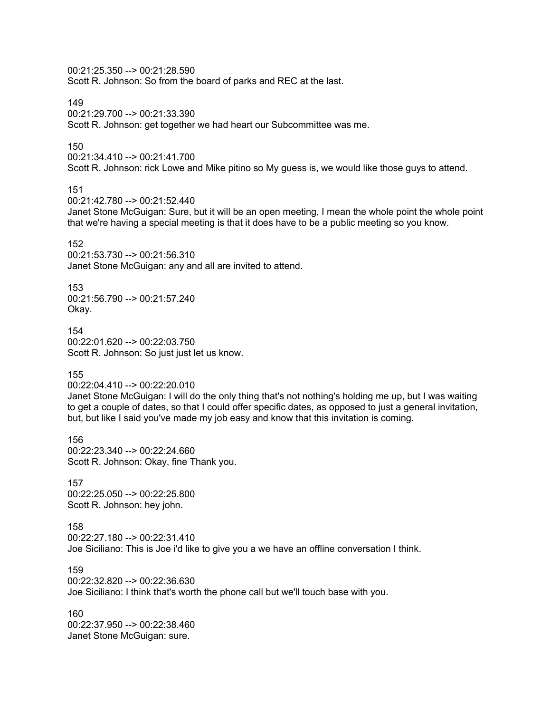00:21:25.350 --> 00:21:28.590 Scott R. Johnson: So from the board of parks and REC at the last.

149 00:21:29.700 --> 00:21:33.390 Scott R. Johnson: get together we had heart our Subcommittee was me.

# 150

00:21:34.410 --> 00:21:41.700 Scott R. Johnson: rick Lowe and Mike pitino so My guess is, we would like those guys to attend.

# 151

00:21:42.780 --> 00:21:52.440

Janet Stone McGuigan: Sure, but it will be an open meeting, I mean the whole point the whole point that we're having a special meeting is that it does have to be a public meeting so you know.

#### 152

00:21:53.730 --> 00:21:56.310 Janet Stone McGuigan: any and all are invited to attend.

#### 153

00:21:56.790 --> 00:21:57.240 Okay.

154 00:22:01.620 --> 00:22:03.750 Scott R. Johnson: So just just let us know.

#### 155

00:22:04.410 --> 00:22:20.010

Janet Stone McGuigan: I will do the only thing that's not nothing's holding me up, but I was waiting to get a couple of dates, so that I could offer specific dates, as opposed to just a general invitation, but, but like I said you've made my job easy and know that this invitation is coming.

156 00:22:23.340 --> 00:22:24.660 Scott R. Johnson: Okay, fine Thank you.

# 157

00:22:25.050 --> 00:22:25.800 Scott R. Johnson: hey john.

#### 158

00:22:27.180 --> 00:22:31.410

Joe Siciliano: This is Joe i'd like to give you a we have an offline conversation I think.

#### 159

00:22:32.820 --> 00:22:36.630

Joe Siciliano: I think that's worth the phone call but we'll touch base with you.

160 00:22:37.950 --> 00:22:38.460 Janet Stone McGuigan: sure.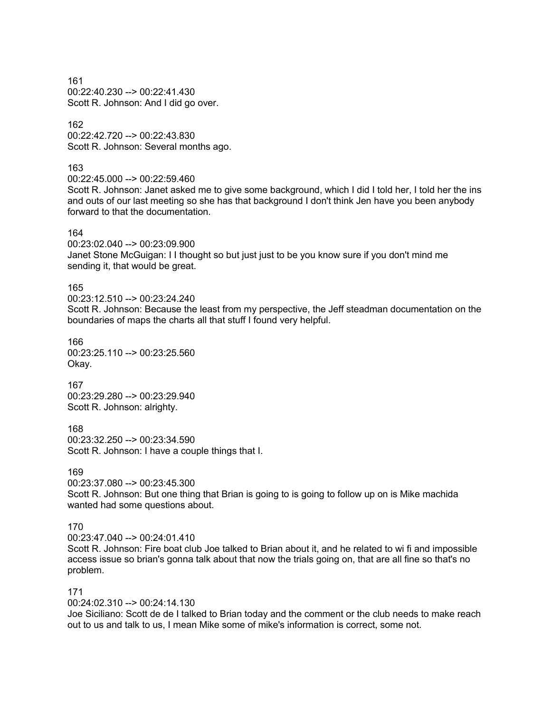161 00:22:40.230 --> 00:22:41.430 Scott R. Johnson: And I did go over.

162 00:22:42.720 --> 00:22:43.830 Scott R. Johnson: Several months ago.

163

00:22:45.000 --> 00:22:59.460

Scott R. Johnson: Janet asked me to give some background, which I did I told her, I told her the ins and outs of our last meeting so she has that background I don't think Jen have you been anybody forward to that the documentation.

164

00:23:02.040 --> 00:23:09.900 Janet Stone McGuigan: I I thought so but just just to be you know sure if you don't mind me sending it, that would be great.

165

00:23:12.510 --> 00:23:24.240

Scott R. Johnson: Because the least from my perspective, the Jeff steadman documentation on the boundaries of maps the charts all that stuff I found very helpful.

166 00:23:25.110 --> 00:23:25.560 Okay.

167 00:23:29.280 --> 00:23:29.940 Scott R. Johnson: alrighty.

168 00:23:32.250 --> 00:23:34.590 Scott R. Johnson: I have a couple things that I.

169

00:23:37.080 --> 00:23:45.300

Scott R. Johnson: But one thing that Brian is going to is going to follow up on is Mike machida wanted had some questions about.

170

 $00:23:47.040 \rightarrow 00:24:01.410$ 

Scott R. Johnson: Fire boat club Joe talked to Brian about it, and he related to wi fi and impossible access issue so brian's gonna talk about that now the trials going on, that are all fine so that's no problem.

171

00:24:02.310 --> 00:24:14.130

Joe Siciliano: Scott de de I talked to Brian today and the comment or the club needs to make reach out to us and talk to us, I mean Mike some of mike's information is correct, some not.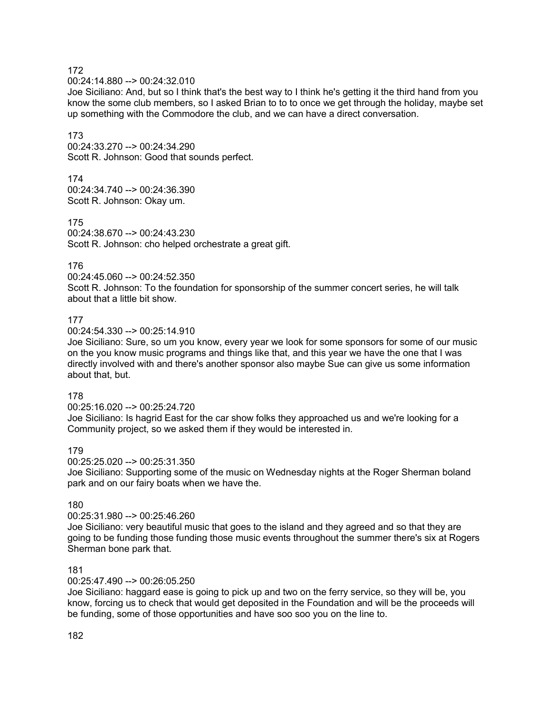00:24:14.880 --> 00:24:32.010

Joe Siciliano: And, but so I think that's the best way to I think he's getting it the third hand from you know the some club members, so I asked Brian to to to once we get through the holiday, maybe set up something with the Commodore the club, and we can have a direct conversation.

#### 173

00:24:33.270 --> 00:24:34.290 Scott R. Johnson: Good that sounds perfect.

# 174

00:24:34.740 --> 00:24:36.390 Scott R. Johnson: Okay um.

#### 175

00:24:38.670 --> 00:24:43.230 Scott R. Johnson: cho helped orchestrate a great gift.

#### 176

00:24:45.060 --> 00:24:52.350

Scott R. Johnson: To the foundation for sponsorship of the summer concert series, he will talk about that a little bit show.

#### 177

 $00.24.54.330 - \geq 00.25.14.910$ 

Joe Siciliano: Sure, so um you know, every year we look for some sponsors for some of our music on the you know music programs and things like that, and this year we have the one that I was directly involved with and there's another sponsor also maybe Sue can give us some information about that, but.

#### 178

00:25:16.020 --> 00:25:24.720

Joe Siciliano: Is hagrid East for the car show folks they approached us and we're looking for a Community project, so we asked them if they would be interested in.

# 179

00:25:25.020 --> 00:25:31.350

Joe Siciliano: Supporting some of the music on Wednesday nights at the Roger Sherman boland park and on our fairy boats when we have the.

# 180

#### 00:25:31.980 --> 00:25:46.260

Joe Siciliano: very beautiful music that goes to the island and they agreed and so that they are going to be funding those funding those music events throughout the summer there's six at Rogers Sherman bone park that.

#### 181

#### 00:25:47.490 --> 00:26:05.250

Joe Siciliano: haggard ease is going to pick up and two on the ferry service, so they will be, you know, forcing us to check that would get deposited in the Foundation and will be the proceeds will be funding, some of those opportunities and have soo soo you on the line to.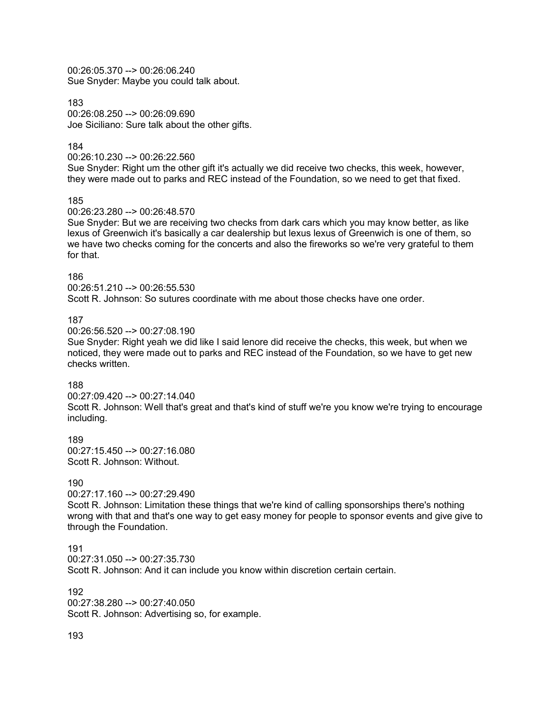00:26:05.370 --> 00:26:06.240 Sue Snyder: Maybe you could talk about.

183 00:26:08.250 --> 00:26:09.690 Joe Siciliano: Sure talk about the other gifts.

#### 184

00:26:10.230 --> 00:26:22.560

Sue Snyder: Right um the other gift it's actually we did receive two checks, this week, however, they were made out to parks and REC instead of the Foundation, so we need to get that fixed.

185

00:26:23.280 --> 00:26:48.570

Sue Snyder: But we are receiving two checks from dark cars which you may know better, as like lexus of Greenwich it's basically a car dealership but lexus lexus of Greenwich is one of them, so we have two checks coming for the concerts and also the fireworks so we're very grateful to them for that.

#### 186

00:26:51.210 --> 00:26:55.530 Scott R. Johnson: So sutures coordinate with me about those checks have one order.

#### 187

00:26:56.520 --> 00:27:08.190

Sue Snyder: Right yeah we did like I said lenore did receive the checks, this week, but when we noticed, they were made out to parks and REC instead of the Foundation, so we have to get new checks written.

#### 188

00:27:09.420 --> 00:27:14.040 Scott R. Johnson: Well that's great and that's kind of stuff we're you know we're trying to encourage including.

189  $00:27:15.450 \rightarrow 00:27:16.080$ Scott R. Johnson: Without.

#### 190

00:27:17.160 --> 00:27:29.490

Scott R. Johnson: Limitation these things that we're kind of calling sponsorships there's nothing wrong with that and that's one way to get easy money for people to sponsor events and give give to through the Foundation.

# 191

00:27:31.050 --> 00:27:35.730

Scott R. Johnson: And it can include you know within discretion certain certain.

192 00:27:38.280 --> 00:27:40.050 Scott R. Johnson: Advertising so, for example.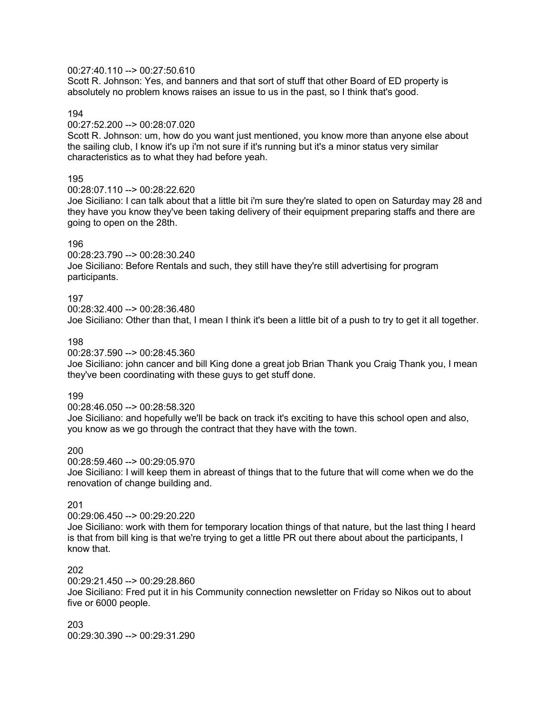#### 00:27:40.110 --> 00:27:50.610

Scott R. Johnson: Yes, and banners and that sort of stuff that other Board of ED property is absolutely no problem knows raises an issue to us in the past, so I think that's good.

#### 194

00:27:52.200 --> 00:28:07.020

Scott R. Johnson: um, how do you want just mentioned, you know more than anyone else about the sailing club, I know it's up i'm not sure if it's running but it's a minor status very similar characteristics as to what they had before yeah.

#### 195

00:28:07.110 --> 00:28:22.620

Joe Siciliano: I can talk about that a little bit i'm sure they're slated to open on Saturday may 28 and they have you know they've been taking delivery of their equipment preparing staffs and there are going to open on the 28th.

#### 196

00:28:23.790 --> 00:28:30.240 Joe Siciliano: Before Rentals and such, they still have they're still advertising for program participants.

#### 197

00:28:32.400 --> 00:28:36.480 Joe Siciliano: Other than that, I mean I think it's been a little bit of a push to try to get it all together.

#### 198

00:28:37.590 --> 00:28:45.360

Joe Siciliano: john cancer and bill King done a great job Brian Thank you Craig Thank you, I mean they've been coordinating with these guys to get stuff done.

#### 199

00:28:46.050 --> 00:28:58.320

Joe Siciliano: and hopefully we'll be back on track it's exciting to have this school open and also, you know as we go through the contract that they have with the town.

# 200

00:28:59.460 --> 00:29:05.970

Joe Siciliano: I will keep them in abreast of things that to the future that will come when we do the renovation of change building and.

# 201

00:29:06.450 --> 00:29:20.220 Joe Siciliano: work with them for temporary location things of that nature, but the last thing I heard is that from bill king is that we're trying to get a little PR out there about about the participants, I know that.

# 202

00:29:21.450 --> 00:29:28.860 Joe Siciliano: Fred put it in his Community connection newsletter on Friday so Nikos out to about five or 6000 people.

203 00:29:30.390 --> 00:29:31.290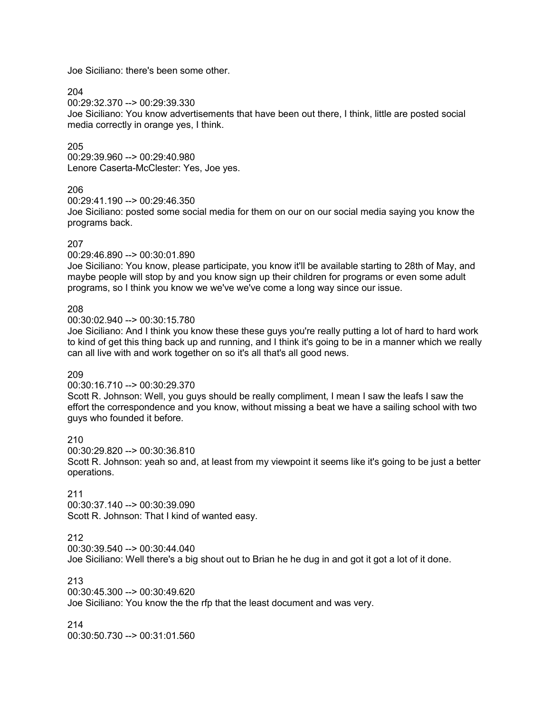Joe Siciliano: there's been some other.

204

00:29:32.370 --> 00:29:39.330

Joe Siciliano: You know advertisements that have been out there, I think, little are posted social media correctly in orange yes, I think.

#### 205

00:29:39.960 --> 00:29:40.980 Lenore Caserta-McClester: Yes, Joe yes.

#### 206

00:29:41.190 --> 00:29:46.350

Joe Siciliano: posted some social media for them on our on our social media saying you know the programs back.

#### 207

00:29:46.890 --> 00:30:01.890

Joe Siciliano: You know, please participate, you know it'll be available starting to 28th of May, and maybe people will stop by and you know sign up their children for programs or even some adult programs, so I think you know we we've we've come a long way since our issue.

#### 208

00:30:02.940 --> 00:30:15.780

Joe Siciliano: And I think you know these these guys you're really putting a lot of hard to hard work to kind of get this thing back up and running, and I think it's going to be in a manner which we really can all live with and work together on so it's all that's all good news.

#### 209

00:30:16.710 --> 00:30:29.370

Scott R. Johnson: Well, you guys should be really compliment, I mean I saw the leafs I saw the effort the correspondence and you know, without missing a beat we have a sailing school with two guys who founded it before.

210 00:30:29.820 --> 00:30:36.810

Scott R. Johnson: yeah so and, at least from my viewpoint it seems like it's going to be just a better operations.

# 211

00:30:37.140 --> 00:30:39.090 Scott R. Johnson: That I kind of wanted easy.

# 212

00:30:39.540 --> 00:30:44.040

Joe Siciliano: Well there's a big shout out to Brian he he dug in and got it got a lot of it done.

# 213

00:30:45.300 --> 00:30:49.620 Joe Siciliano: You know the the rfp that the least document and was very.

214 00:30:50.730 --> 00:31:01.560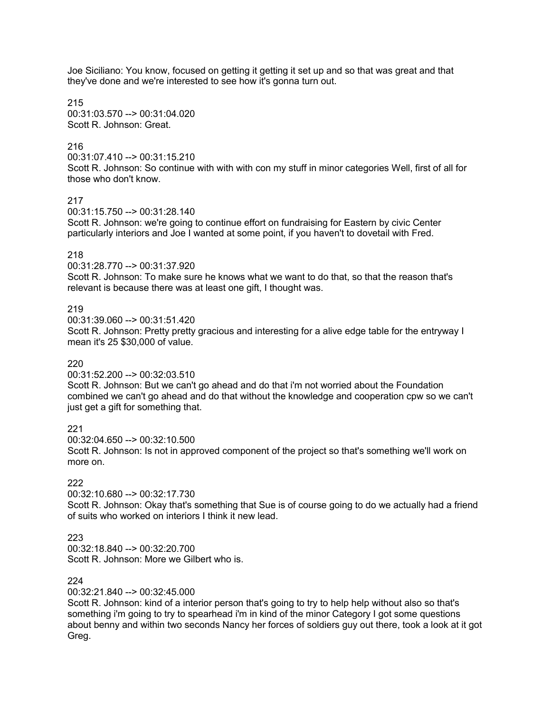Joe Siciliano: You know, focused on getting it getting it set up and so that was great and that they've done and we're interested to see how it's gonna turn out.

215 00:31:03.570 --> 00:31:04.020 Scott R. Johnson: Great.

#### 216

00:31:07.410 --> 00:31:15.210 Scott R. Johnson: So continue with with with con my stuff in minor categories Well, first of all for those who don't know.

217

00:31:15.750 --> 00:31:28.140

Scott R. Johnson: we're going to continue effort on fundraising for Eastern by civic Center particularly interiors and Joe I wanted at some point, if you haven't to dovetail with Fred.

#### 218

00:31:28.770 --> 00:31:37.920

Scott R. Johnson: To make sure he knows what we want to do that, so that the reason that's relevant is because there was at least one gift, I thought was.

#### 219

00:31:39.060 --> 00:31:51.420

Scott R. Johnson: Pretty pretty gracious and interesting for a alive edge table for the entryway I mean it's 25 \$30,000 of value.

#### 220

00:31:52.200 --> 00:32:03.510

Scott R. Johnson: But we can't go ahead and do that i'm not worried about the Foundation combined we can't go ahead and do that without the knowledge and cooperation cpw so we can't just get a gift for something that.

# 221

00:32:04.650 --> 00:32:10.500

Scott R. Johnson: Is not in approved component of the project so that's something we'll work on more on.

#### 222

00:32:10.680 --> 00:32:17.730

Scott R. Johnson: Okay that's something that Sue is of course going to do we actually had a friend of suits who worked on interiors I think it new lead.

# 223

00:32:18.840 --> 00:32:20.700 Scott R. Johnson: More we Gilbert who is.

# 224

00:32:21.840 --> 00:32:45.000

Scott R. Johnson: kind of a interior person that's going to try to help help without also so that's something i'm going to try to spearhead i'm in kind of the minor Category I got some questions about benny and within two seconds Nancy her forces of soldiers guy out there, took a look at it got Greg.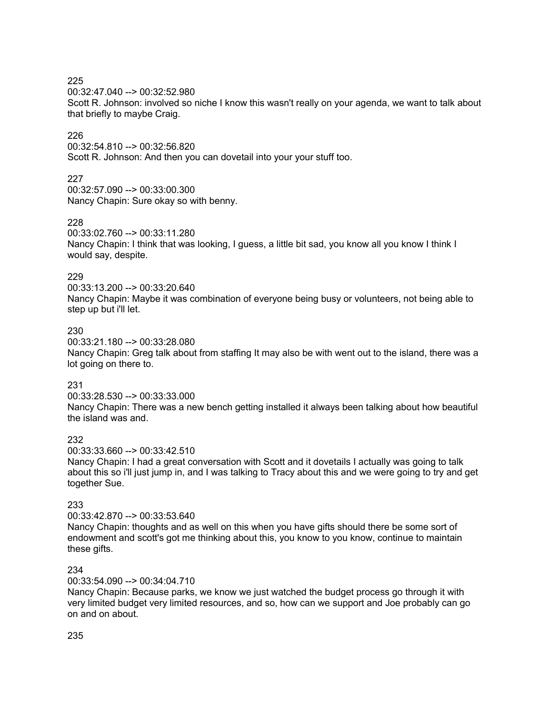00:32:47.040 --> 00:32:52.980

Scott R. Johnson: involved so niche I know this wasn't really on your agenda, we want to talk about that briefly to maybe Craig.

# 226

00:32:54.810 --> 00:32:56.820 Scott R. Johnson: And then you can dovetail into your your stuff too.

# 227

00:32:57.090 --> 00:33:00.300 Nancy Chapin: Sure okay so with benny.

# 228

00:33:02.760 --> 00:33:11.280 Nancy Chapin: I think that was looking, I guess, a little bit sad, you know all you know I think I would say, despite.

# 229

00:33:13.200 --> 00:33:20.640 Nancy Chapin: Maybe it was combination of everyone being busy or volunteers, not being able to step up but i'll let.

# 230

00:33:21.180 --> 00:33:28.080 Nancy Chapin: Greg talk about from staffing It may also be with went out to the island, there was a lot going on there to.

# 231

00:33:28.530 --> 00:33:33.000 Nancy Chapin: There was a new bench getting installed it always been talking about how beautiful the island was and.

# 232

00:33:33.660 --> 00:33:42.510

Nancy Chapin: I had a great conversation with Scott and it dovetails I actually was going to talk about this so i'll just jump in, and I was talking to Tracy about this and we were going to try and get together Sue.

# 233

#### 00:33:42.870 --> 00:33:53.640

Nancy Chapin: thoughts and as well on this when you have gifts should there be some sort of endowment and scott's got me thinking about this, you know to you know, continue to maintain these gifts.

# 234

00:33:54.090 --> 00:34:04.710

Nancy Chapin: Because parks, we know we just watched the budget process go through it with very limited budget very limited resources, and so, how can we support and Joe probably can go on and on about.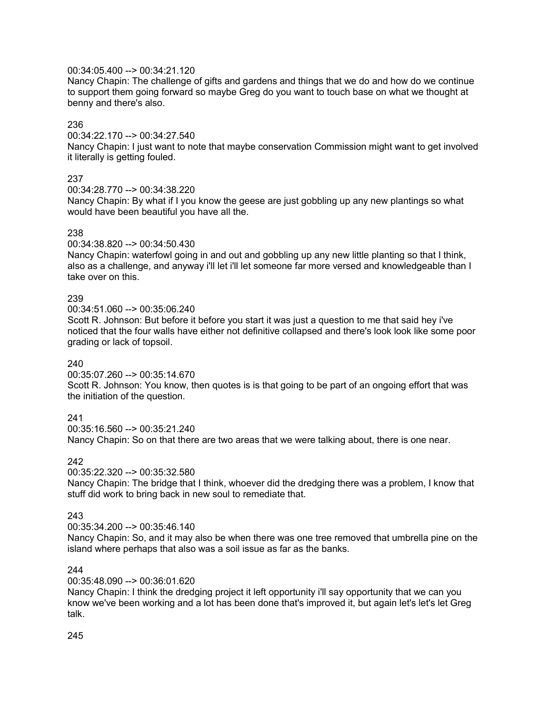# 00:34:05.400 --> 00:34:21.120

Nancy Chapin: The challenge of gifts and gardens and things that we do and how do we continue to support them going forward so maybe Greg do you want to touch base on what we thought at benny and there's also.

# 236

00:34:22.170 --> 00:34:27.540

Nancy Chapin: I just want to note that maybe conservation Commission might want to get involved it literally is getting fouled.

# 237

00:34:28.770 --> 00:34:38.220

Nancy Chapin: By what if I you know the geese are just gobbling up any new plantings so what would have been beautiful you have all the.

# 238

00:34:38.820 --> 00:34:50.430

Nancy Chapin: waterfowl going in and out and gobbling up any new little planting so that I think, also as a challenge, and anyway i'll let i'll let someone far more versed and knowledgeable than I take over on this.

# 239

00:34:51.060 --> 00:35:06.240

Scott R. Johnson: But before it before you start it was just a question to me that said hey i've noticed that the four walls have either not definitive collapsed and there's look look like some poor grading or lack of topsoil.

# 240

00:35:07.260 --> 00:35:14.670

Scott R. Johnson: You know, then quotes is is that going to be part of an ongoing effort that was the initiation of the question.

# 241

00:35:16.560 --> 00:35:21.240 Nancy Chapin: So on that there are two areas that we were talking about, there is one near.

# 242

00:35:22.320 --> 00:35:32.580 Nancy Chapin: The bridge that I think, whoever did the dredging there was a problem, I know that stuff did work to bring back in new soul to remediate that.

# 243

00:35:34.200 --> 00:35:46.140

Nancy Chapin: So, and it may also be when there was one tree removed that umbrella pine on the island where perhaps that also was a soil issue as far as the banks.

# 244

00:35:48.090 --> 00:36:01.620

Nancy Chapin: I think the dredging project it left opportunity i'll say opportunity that we can you know we've been working and a lot has been done that's improved it, but again let's let's let Greg talk.

245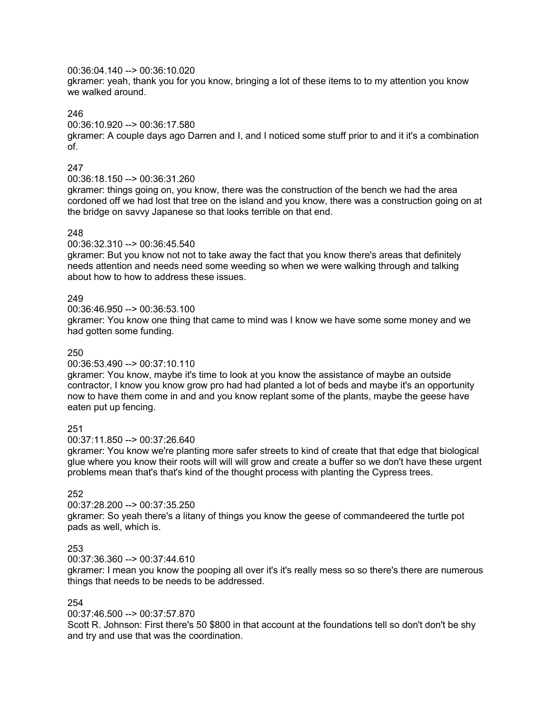#### 00:36:04.140 --> 00:36:10.020

gkramer: yeah, thank you for you know, bringing a lot of these items to to my attention you know we walked around.

# 246

00:36:10.920 --> 00:36:17.580

gkramer: A couple days ago Darren and I, and I noticed some stuff prior to and it it's a combination of.

# 247

00:36:18.150 --> 00:36:31.260

gkramer: things going on, you know, there was the construction of the bench we had the area cordoned off we had lost that tree on the island and you know, there was a construction going on at the bridge on savvy Japanese so that looks terrible on that end.

# 248

00:36:32.310 --> 00:36:45.540

gkramer: But you know not not to take away the fact that you know there's areas that definitely needs attention and needs need some weeding so when we were walking through and talking about how to how to address these issues.

# 249

00:36:46.950 --> 00:36:53.100

gkramer: You know one thing that came to mind was I know we have some some money and we had gotten some funding.

# 250

00:36:53.490 --> 00:37:10.110

gkramer: You know, maybe it's time to look at you know the assistance of maybe an outside contractor, I know you know grow pro had had planted a lot of beds and maybe it's an opportunity now to have them come in and and you know replant some of the plants, maybe the geese have eaten put up fencing.

# 251

00:37:11.850 --> 00:37:26.640

gkramer: You know we're planting more safer streets to kind of create that that edge that biological glue where you know their roots will will will grow and create a buffer so we don't have these urgent problems mean that's that's kind of the thought process with planting the Cypress trees.

# 252

# 00:37:28.200 --> 00:37:35.250

gkramer: So yeah there's a litany of things you know the geese of commandeered the turtle pot pads as well, which is.

# 253

00:37:36.360 --> 00:37:44.610

gkramer: I mean you know the pooping all over it's it's really mess so so there's there are numerous things that needs to be needs to be addressed.

# 254

00:37:46.500 --> 00:37:57.870

Scott R. Johnson: First there's 50 \$800 in that account at the foundations tell so don't don't be shy and try and use that was the coordination.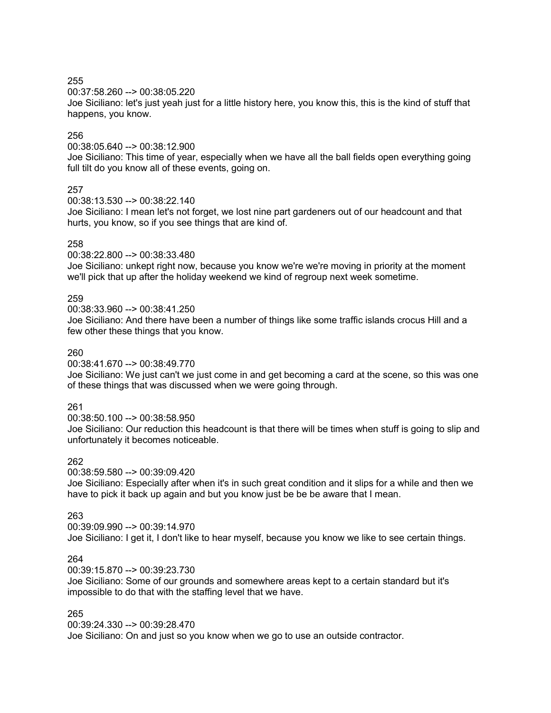00:37:58.260 --> 00:38:05.220

Joe Siciliano: let's just yeah just for a little history here, you know this, this is the kind of stuff that happens, you know.

#### 256

00:38:05.640 --> 00:38:12.900

Joe Siciliano: This time of year, especially when we have all the ball fields open everything going full tilt do you know all of these events, going on.

# 257

00:38:13.530 --> 00:38:22.140

Joe Siciliano: I mean let's not forget, we lost nine part gardeners out of our headcount and that hurts, you know, so if you see things that are kind of.

#### 258

00:38:22.800 --> 00:38:33.480

Joe Siciliano: unkept right now, because you know we're we're moving in priority at the moment we'll pick that up after the holiday weekend we kind of regroup next week sometime.

# 259

00:38:33.960 --> 00:38:41.250

Joe Siciliano: And there have been a number of things like some traffic islands crocus Hill and a few other these things that you know.

#### 260

00:38:41.670 --> 00:38:49.770

Joe Siciliano: We just can't we just come in and get becoming a card at the scene, so this was one of these things that was discussed when we were going through.

# 261

00:38:50.100 --> 00:38:58.950

Joe Siciliano: Our reduction this headcount is that there will be times when stuff is going to slip and unfortunately it becomes noticeable.

# 262

00:38:59.580 --> 00:39:09.420

Joe Siciliano: Especially after when it's in such great condition and it slips for a while and then we have to pick it back up again and but you know just be be be aware that I mean.

#### 263

00:39:09.990 --> 00:39:14.970 Joe Siciliano: I get it, I don't like to hear myself, because you know we like to see certain things.

#### 264

00:39:15.870 --> 00:39:23.730

Joe Siciliano: Some of our grounds and somewhere areas kept to a certain standard but it's impossible to do that with the staffing level that we have.

#### 265

00:39:24.330 --> 00:39:28.470

Joe Siciliano: On and just so you know when we go to use an outside contractor.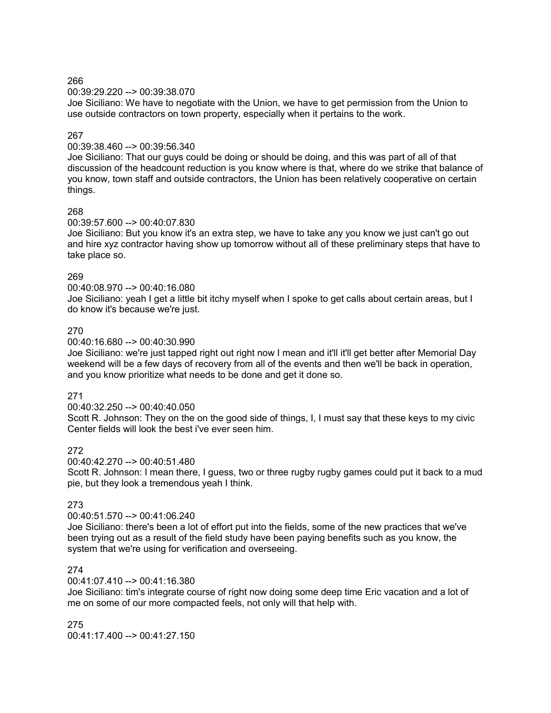00:39:29.220 --> 00:39:38.070

Joe Siciliano: We have to negotiate with the Union, we have to get permission from the Union to use outside contractors on town property, especially when it pertains to the work.

# 267

00:39:38.460 --> 00:39:56.340

Joe Siciliano: That our guys could be doing or should be doing, and this was part of all of that discussion of the headcount reduction is you know where is that, where do we strike that balance of you know, town staff and outside contractors, the Union has been relatively cooperative on certain things.

# 268

#### 00:39:57.600 --> 00:40:07.830

Joe Siciliano: But you know it's an extra step, we have to take any you know we just can't go out and hire xyz contractor having show up tomorrow without all of these preliminary steps that have to take place so.

# 269

00:40:08.970 --> 00:40:16.080

Joe Siciliano: yeah I get a little bit itchy myself when I spoke to get calls about certain areas, but I do know it's because we're just.

# 270

00:40:16.680 --> 00:40:30.990

Joe Siciliano: we're just tapped right out right now I mean and it'll it'll get better after Memorial Day weekend will be a few days of recovery from all of the events and then we'll be back in operation, and you know prioritize what needs to be done and get it done so.

# 271

00:40:32.250 --> 00:40:40.050

Scott R. Johnson: They on the on the good side of things, I, I must say that these keys to my civic Center fields will look the best i've ever seen him.

# 272

00:40:42.270 --> 00:40:51.480

Scott R. Johnson: I mean there, I guess, two or three rugby rugby games could put it back to a mud pie, but they look a tremendous yeah I think.

# 273

#### 00:40:51.570 --> 00:41:06.240

Joe Siciliano: there's been a lot of effort put into the fields, some of the new practices that we've been trying out as a result of the field study have been paying benefits such as you know, the system that we're using for verification and overseeing.

# 274

#### 00:41:07.410 --> 00:41:16.380

Joe Siciliano: tim's integrate course of right now doing some deep time Eric vacation and a lot of me on some of our more compacted feels, not only will that help with.

275  $00:41:17.400 \rightarrow 00:41:27.150$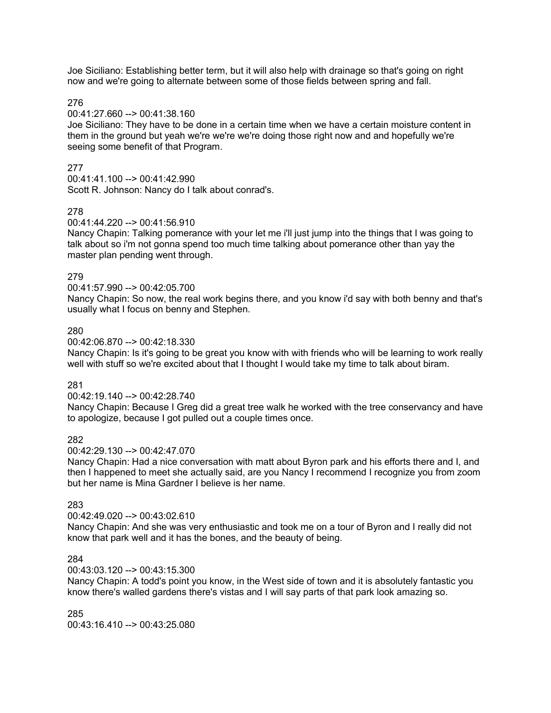Joe Siciliano: Establishing better term, but it will also help with drainage so that's going on right now and we're going to alternate between some of those fields between spring and fall.

276

00:41:27.660 --> 00:41:38.160

Joe Siciliano: They have to be done in a certain time when we have a certain moisture content in them in the ground but yeah we're we're we're doing those right now and and hopefully we're seeing some benefit of that Program.

# 277

00:41:41.100 --> 00:41:42.990 Scott R. Johnson: Nancy do I talk about conrad's.

# 278

00:41:44.220 --> 00:41:56.910

Nancy Chapin: Talking pomerance with your let me i'll just jump into the things that I was going to talk about so i'm not gonna spend too much time talking about pomerance other than yay the master plan pending went through.

# 279

00:41:57.990 --> 00:42:05.700

Nancy Chapin: So now, the real work begins there, and you know i'd say with both benny and that's usually what I focus on benny and Stephen.

# 280

00:42:06.870 --> 00:42:18.330

Nancy Chapin: Is it's going to be great you know with with friends who will be learning to work really well with stuff so we're excited about that I thought I would take my time to talk about biram.

# 281

00:42:19.140 --> 00:42:28.740

Nancy Chapin: Because I Greg did a great tree walk he worked with the tree conservancy and have to apologize, because I got pulled out a couple times once.

# 282

00:42:29.130 --> 00:42:47.070

Nancy Chapin: Had a nice conversation with matt about Byron park and his efforts there and I, and then I happened to meet she actually said, are you Nancy I recommend I recognize you from zoom but her name is Mina Gardner I believe is her name.

# 283

# 00:42:49.020 --> 00:43:02.610

Nancy Chapin: And she was very enthusiastic and took me on a tour of Byron and I really did not know that park well and it has the bones, and the beauty of being.

# 284

# 00:43:03.120 --> 00:43:15.300

Nancy Chapin: A todd's point you know, in the West side of town and it is absolutely fantastic you know there's walled gardens there's vistas and I will say parts of that park look amazing so.

285 00:43:16.410 --> 00:43:25.080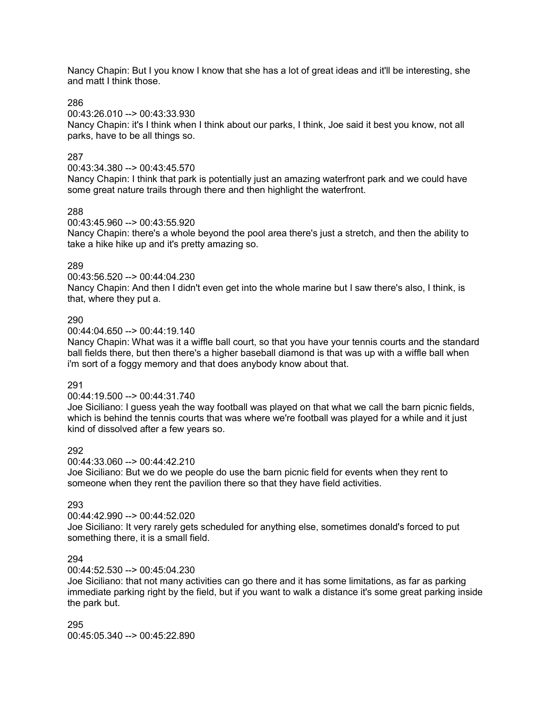Nancy Chapin: But I you know I know that she has a lot of great ideas and it'll be interesting, she and matt I think those.

286

00:43:26.010 --> 00:43:33.930

Nancy Chapin: it's I think when I think about our parks, I think, Joe said it best you know, not all parks, have to be all things so.

# 287

00:43:34.380 --> 00:43:45.570

Nancy Chapin: I think that park is potentially just an amazing waterfront park and we could have some great nature trails through there and then highlight the waterfront.

#### 288

00:43:45.960 --> 00:43:55.920

Nancy Chapin: there's a whole beyond the pool area there's just a stretch, and then the ability to take a hike hike up and it's pretty amazing so.

#### 289

00:43:56.520 --> 00:44:04.230

Nancy Chapin: And then I didn't even get into the whole marine but I saw there's also, I think, is that, where they put a.

#### 290

00:44:04.650 --> 00:44:19.140

Nancy Chapin: What was it a wiffle ball court, so that you have your tennis courts and the standard ball fields there, but then there's a higher baseball diamond is that was up with a wiffle ball when i'm sort of a foggy memory and that does anybody know about that.

#### 291

00:44:19.500 --> 00:44:31.740

Joe Siciliano: I guess yeah the way football was played on that what we call the barn picnic fields, which is behind the tennis courts that was where we're football was played for a while and it just kind of dissolved after a few years so.

# 292

00:44:33.060 --> 00:44:42.210

Joe Siciliano: But we do we people do use the barn picnic field for events when they rent to someone when they rent the pavilion there so that they have field activities.

# 293

00:44:42.990 --> 00:44:52.020

Joe Siciliano: It very rarely gets scheduled for anything else, sometimes donald's forced to put something there, it is a small field.

# 294

00:44:52.530 --> 00:45:04.230

Joe Siciliano: that not many activities can go there and it has some limitations, as far as parking immediate parking right by the field, but if you want to walk a distance it's some great parking inside the park but.

295 00:45:05.340 --> 00:45:22.890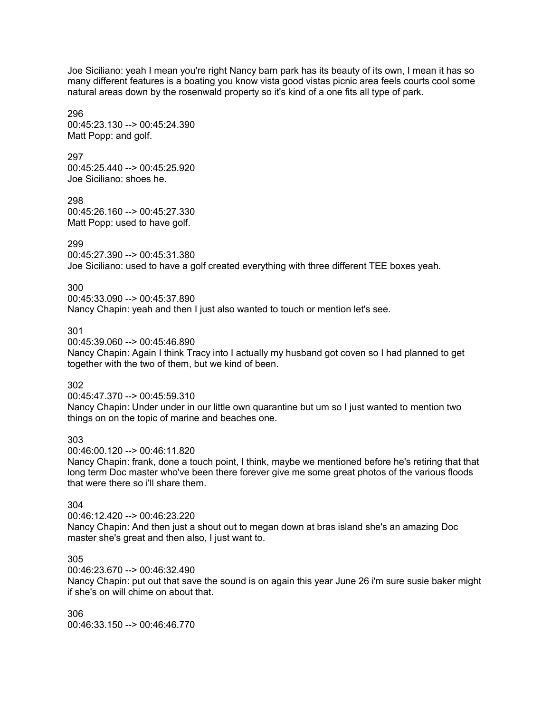Joe Siciliano: yeah I mean you're right Nancy barn park has its beauty of its own, I mean it has so many different features is a boating you know vista good vistas picnic area feels courts cool some natural areas down by the rosenwald property so it's kind of a one fits all type of park.

296 00:45:23.130 --> 00:45:24.390 Matt Popp: and golf.

297 00:45:25.440 --> 00:45:25.920 Joe Siciliano: shoes he.

298 00:45:26.160 --> 00:45:27.330 Matt Popp: used to have golf.

# 299

00:45:27.390 --> 00:45:31.380 Joe Siciliano: used to have a golf created everything with three different TEE boxes yeah.

300

00:45:33.090 --> 00:45:37.890

Nancy Chapin: yeah and then I just also wanted to touch or mention let's see.

#### 301

00:45:39.060 --> 00:45:46.890

Nancy Chapin: Again I think Tracy into I actually my husband got coven so I had planned to get together with the two of them, but we kind of been.

302

00:45:47.370 --> 00:45:59.310

Nancy Chapin: Under under in our little own quarantine but um so I just wanted to mention two things on on the topic of marine and beaches one.

303

00:46:00.120 --> 00:46:11.820

Nancy Chapin: frank, done a touch point, I think, maybe we mentioned before he's retiring that that long term Doc master who've been there forever give me some great photos of the various floods that were there so i'll share them.

# 304

00:46:12.420 --> 00:46:23.220 Nancy Chapin: And then just a shout out to megan down at bras island she's an amazing Doc master she's great and then also, I just want to.

# 305

00:46:23.670 --> 00:46:32.490

Nancy Chapin: put out that save the sound is on again this year June 26 i'm sure susie baker might if she's on will chime on about that.

306 00:46:33.150 --> 00:46:46.770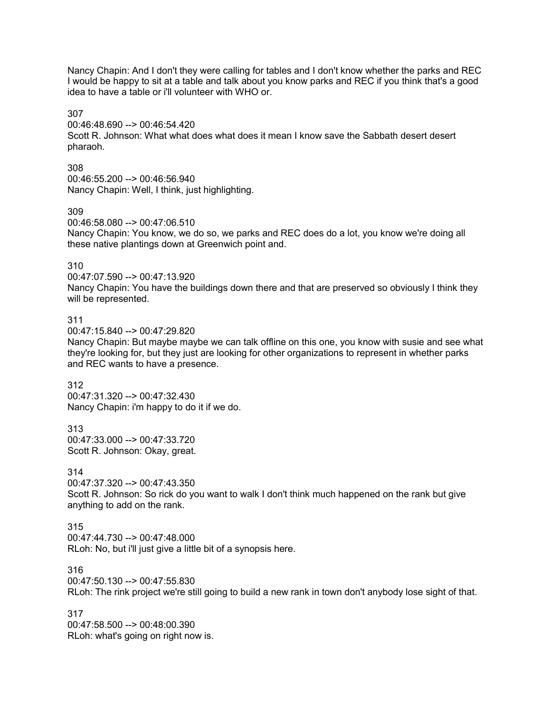Nancy Chapin: And I don't they were calling for tables and I don't know whether the parks and REC I would be happy to sit at a table and talk about you know parks and REC if you think that's a good idea to have a table or i'll volunteer with WHO or.

307

00:46:48.690 --> 00:46:54.420 Scott R. Johnson: What what does what does it mean I know save the Sabbath desert desert pharaoh.

308 00:46:55.200 --> 00:46:56.940 Nancy Chapin: Well, I think, just highlighting.

309

00:46:58.080 --> 00:47:06.510

Nancy Chapin: You know, we do so, we parks and REC does do a lot, you know we're doing all these native plantings down at Greenwich point and.

310

00:47:07.590 --> 00:47:13.920

Nancy Chapin: You have the buildings down there and that are preserved so obviously I think they will be represented.

311

 $0.47:15.840 - \geq 0.0147:29.820$ 

Nancy Chapin: But maybe maybe we can talk offline on this one, you know with susie and see what they're looking for, but they just are looking for other organizations to represent in whether parks and REC wants to have a presence.

312

00:47:31.320 --> 00:47:32.430 Nancy Chapin: i'm happy to do it if we do.

313 00:47:33.000 --> 00:47:33.720 Scott R. Johnson: Okay, great.

314

00:47:37.320 --> 00:47:43.350 Scott R. Johnson: So rick do you want to walk I don't think much happened on the rank but give anything to add on the rank.

315

00:47:44.730 --> 00:47:48.000 RLoh: No, but i'll just give a little bit of a synopsis here.

316

00:47:50.130 --> 00:47:55.830

RLoh: The rink project we're still going to build a new rank in town don't anybody lose sight of that.

317 00:47:58.500 --> 00:48:00.390 RLoh: what's going on right now is.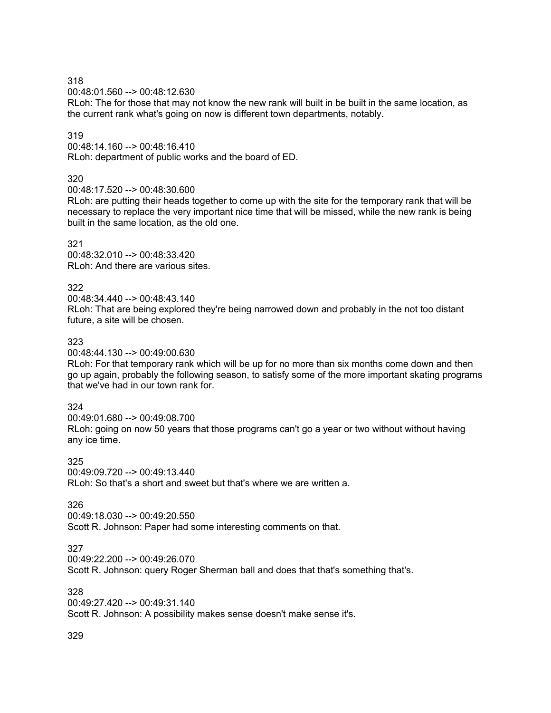00:48:01.560 --> 00:48:12.630

RLoh: The for those that may not know the new rank will built in be built in the same location, as the current rank what's going on now is different town departments, notably.

#### 319

00:48:14.160 --> 00:48:16.410 RLoh: department of public works and the board of ED.

# 320

00:48:17.520 --> 00:48:30.600

RLoh: are putting their heads together to come up with the site for the temporary rank that will be necessary to replace the very important nice time that will be missed, while the new rank is being built in the same location, as the old one.

#### 321

00:48:32.010 --> 00:48:33.420 RLoh: And there are various sites.

322

00:48:34.440 --> 00:48:43.140 RLoh: That are being explored they're being narrowed down and probably in the not too distant future, a site will be chosen.

# 323

00:48:44.130 --> 00:49:00.630

RLoh: For that temporary rank which will be up for no more than six months come down and then go up again, probably the following season, to satisfy some of the more important skating programs that we've had in our town rank for.

# 324

00:49:01.680 --> 00:49:08.700 RLoh: going on now 50 years that those programs can't go a year or two without without having any ice time.

325 00:49:09.720 --> 00:49:13.440 RLoh: So that's a short and sweet but that's where we are written a.

# 326

00:49:18.030 --> 00:49:20.550 Scott R. Johnson: Paper had some interesting comments on that.

# 327

00:49:22.200 --> 00:49:26.070

Scott R. Johnson: query Roger Sherman ball and does that that's something that's.

#### 328

00:49:27.420 --> 00:49:31.140

Scott R. Johnson: A possibility makes sense doesn't make sense it's.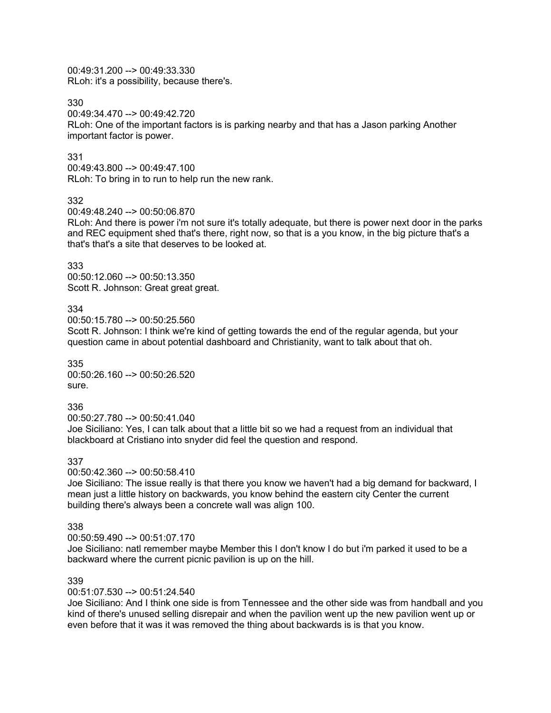00:49:31.200 --> 00:49:33.330 RLoh: it's a possibility, because there's.

330

00:49:34.470 --> 00:49:42.720

RLoh: One of the important factors is is parking nearby and that has a Jason parking Another important factor is power.

#### 331

00:49:43.800 --> 00:49:47.100 RLoh: To bring in to run to help run the new rank.

#### 332

00:49:48.240 --> 00:50:06.870

RLoh: And there is power i'm not sure it's totally adequate, but there is power next door in the parks and REC equipment shed that's there, right now, so that is a you know, in the big picture that's a that's that's a site that deserves to be looked at.

#### 333

00:50:12.060 --> 00:50:13.350 Scott R. Johnson: Great great great.

# 334

00:50:15.780 --> 00:50:25.560

Scott R. Johnson: I think we're kind of getting towards the end of the regular agenda, but your question came in about potential dashboard and Christianity, want to talk about that oh.

335 00:50:26.160 --> 00:50:26.520 sure.

#### 336

00:50:27.780 --> 00:50:41.040

Joe Siciliano: Yes, I can talk about that a little bit so we had a request from an individual that blackboard at Cristiano into snyder did feel the question and respond.

#### 337

00:50:42.360 --> 00:50:58.410

Joe Siciliano: The issue really is that there you know we haven't had a big demand for backward, I mean just a little history on backwards, you know behind the eastern city Center the current building there's always been a concrete wall was align 100.

#### 338

00:50:59.490 --> 00:51:07.170

Joe Siciliano: natl remember maybe Member this I don't know I do but i'm parked it used to be a backward where the current picnic pavilion is up on the hill.

# 339

00:51:07.530 --> 00:51:24.540

Joe Siciliano: And I think one side is from Tennessee and the other side was from handball and you kind of there's unused selling disrepair and when the pavilion went up the new pavilion went up or even before that it was it was removed the thing about backwards is is that you know.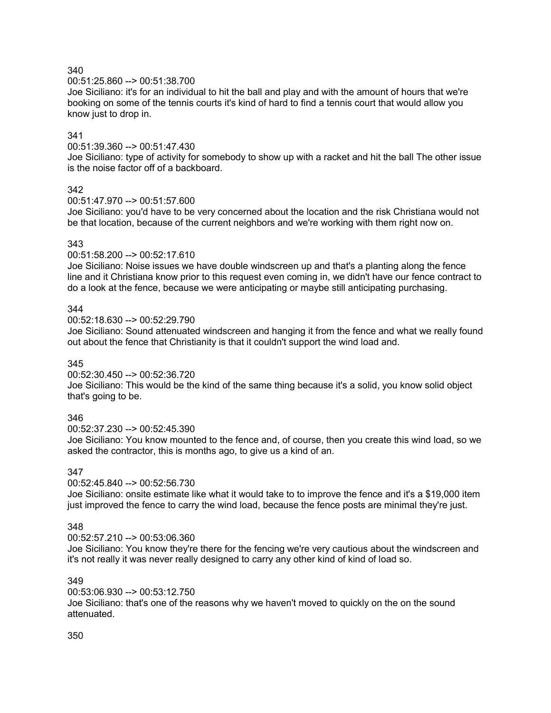#### 00:51:25.860 --> 00:51:38.700

Joe Siciliano: it's for an individual to hit the ball and play and with the amount of hours that we're booking on some of the tennis courts it's kind of hard to find a tennis court that would allow you know just to drop in.

# 341

00:51:39.360 --> 00:51:47.430

Joe Siciliano: type of activity for somebody to show up with a racket and hit the ball The other issue is the noise factor off of a backboard.

#### 342

#### 00:51:47.970 --> 00:51:57.600

Joe Siciliano: you'd have to be very concerned about the location and the risk Christiana would not be that location, because of the current neighbors and we're working with them right now on.

#### 343

#### 00:51:58.200 --> 00:52:17.610

Joe Siciliano: Noise issues we have double windscreen up and that's a planting along the fence line and it Christiana know prior to this request even coming in, we didn't have our fence contract to do a look at the fence, because we were anticipating or maybe still anticipating purchasing.

#### 344

#### 00:52:18.630 --> 00:52:29.790

Joe Siciliano: Sound attenuated windscreen and hanging it from the fence and what we really found out about the fence that Christianity is that it couldn't support the wind load and.

#### 345

#### 00:52:30.450 --> 00:52:36.720

Joe Siciliano: This would be the kind of the same thing because it's a solid, you know solid object that's going to be.

# 346

00:52:37.230 --> 00:52:45.390

Joe Siciliano: You know mounted to the fence and, of course, then you create this wind load, so we asked the contractor, this is months ago, to give us a kind of an.

#### 347

#### 00:52:45.840 --> 00:52:56.730

Joe Siciliano: onsite estimate like what it would take to to improve the fence and it's a \$19,000 item just improved the fence to carry the wind load, because the fence posts are minimal they're just.

#### 348

#### 00:52:57.210 --> 00:53:06.360

Joe Siciliano: You know they're there for the fencing we're very cautious about the windscreen and it's not really it was never really designed to carry any other kind of kind of load so.

# 349

#### 00:53:06.930 --> 00:53:12.750 Joe Siciliano: that's one of the reasons why we haven't moved to quickly on the on the sound attenuated.

#### 350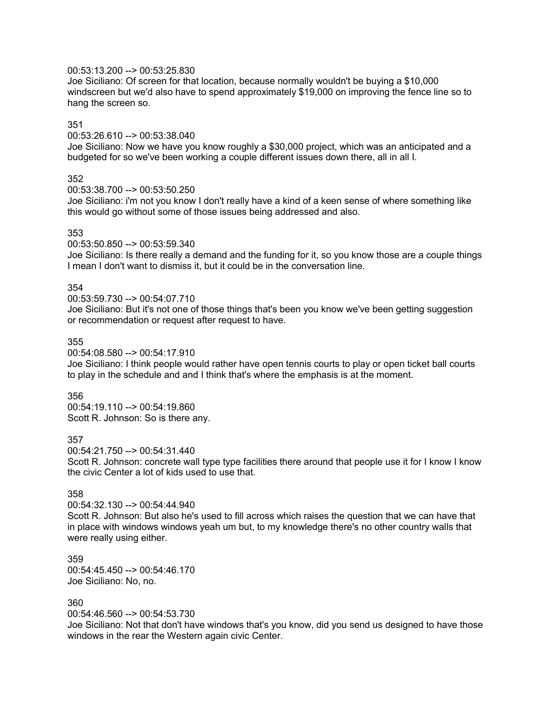# 00:53:13.200 --> 00:53:25.830

Joe Siciliano: Of screen for that location, because normally wouldn't be buying a \$10,000 windscreen but we'd also have to spend approximately \$19,000 on improving the fence line so to hang the screen so.

#### 351

#### 00:53:26.610 --> 00:53:38.040

Joe Siciliano: Now we have you know roughly a \$30,000 project, which was an anticipated and a budgeted for so we've been working a couple different issues down there, all in all I.

#### 352

00:53:38.700 --> 00:53:50.250

Joe Siciliano: i'm not you know I don't really have a kind of a keen sense of where something like this would go without some of those issues being addressed and also.

#### 353

#### 00:53:50.850 --> 00:53:59.340

Joe Siciliano: Is there really a demand and the funding for it, so you know those are a couple things I mean I don't want to dismiss it, but it could be in the conversation line.

#### 354

#### 00:53:59.730 --> 00:54:07.710

Joe Siciliano: But it's not one of those things that's been you know we've been getting suggestion or recommendation or request after request to have.

#### 355

00:54:08.580 --> 00:54:17.910

Joe Siciliano: I think people would rather have open tennis courts to play or open ticket ball courts to play in the schedule and and I think that's where the emphasis is at the moment.

#### 356

00:54:19.110 --> 00:54:19.860 Scott R. Johnson: So is there any.

#### 357

00:54:21.750 --> 00:54:31.440

Scott R. Johnson: concrete wall type type facilities there around that people use it for I know I know the civic Center a lot of kids used to use that.

#### 358

#### 00:54:32.130 --> 00:54:44.940

Scott R. Johnson: But also he's used to fill across which raises the question that we can have that in place with windows windows yeah um but, to my knowledge there's no other country walls that were really using either.

359 00:54:45.450 --> 00:54:46.170 Joe Siciliano: No, no.

#### 360

00:54:46.560 --> 00:54:53.730

Joe Siciliano: Not that don't have windows that's you know, did you send us designed to have those windows in the rear the Western again civic Center.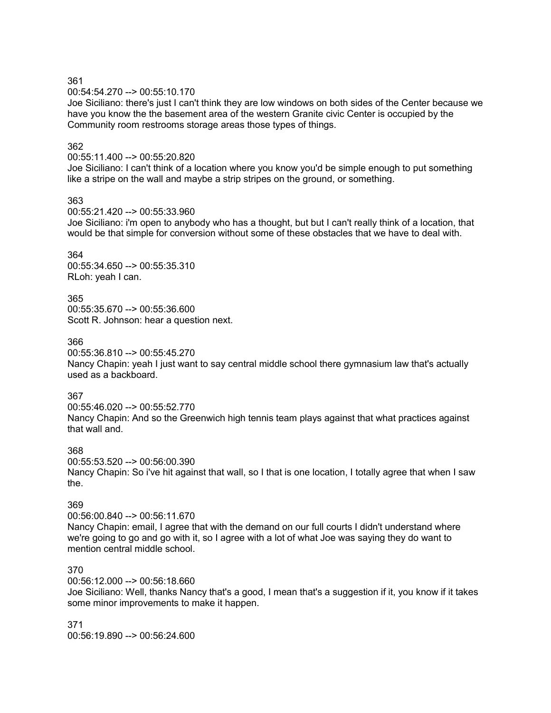00:54:54.270 --> 00:55:10.170

Joe Siciliano: there's just I can't think they are low windows on both sides of the Center because we have you know the the basement area of the western Granite civic Center is occupied by the Community room restrooms storage areas those types of things.

# 362

#### 00:55:11.400 --> 00:55:20.820

Joe Siciliano: I can't think of a location where you know you'd be simple enough to put something like a stripe on the wall and maybe a strip stripes on the ground, or something.

#### 363

#### 00:55:21.420 --> 00:55:33.960

Joe Siciliano: i'm open to anybody who has a thought, but but I can't really think of a location, that would be that simple for conversion without some of these obstacles that we have to deal with.

364 00:55:34.650 --> 00:55:35.310 RLoh: yeah I can.

365 00:55:35.670 --> 00:55:36.600 Scott R. Johnson: hear a question next.

# 366

00:55:36.810 --> 00:55:45.270

Nancy Chapin: yeah I just want to say central middle school there gymnasium law that's actually used as a backboard.

# 367

00:55:46.020 --> 00:55:52.770 Nancy Chapin: And so the Greenwich high tennis team plays against that what practices against that wall and.

# 368

00:55:53.520 --> 00:56:00.390 Nancy Chapin: So i've hit against that wall, so I that is one location, I totally agree that when I saw the.

# 369

00:56:00.840 --> 00:56:11.670 Nancy Chapin: email, I agree that with the demand on our full courts I didn't understand where we're going to go and go with it, so I agree with a lot of what Joe was saying they do want to mention central middle school.

# 370

00:56:12.000 --> 00:56:18.660

Joe Siciliano: Well, thanks Nancy that's a good, I mean that's a suggestion if it, you know if it takes some minor improvements to make it happen.

371 00:56:19.890 --> 00:56:24.600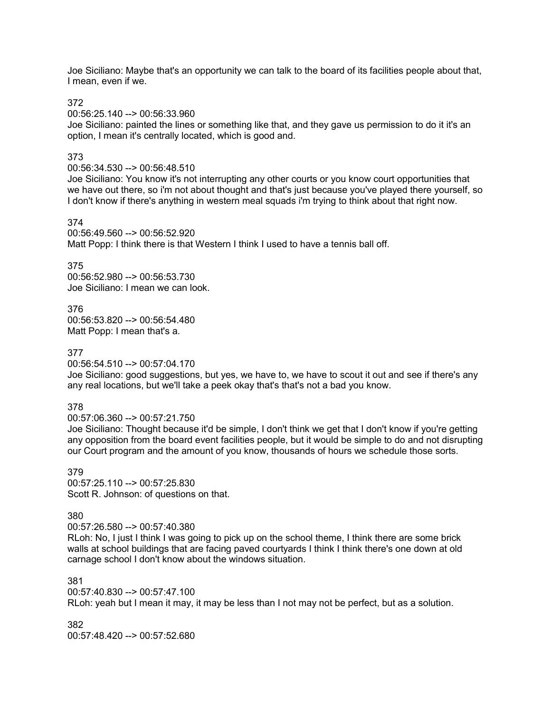Joe Siciliano: Maybe that's an opportunity we can talk to the board of its facilities people about that, I mean, even if we.

372

00:56:25.140 --> 00:56:33.960

Joe Siciliano: painted the lines or something like that, and they gave us permission to do it it's an option, I mean it's centrally located, which is good and.

# 373

00:56:34.530 --> 00:56:48.510

Joe Siciliano: You know it's not interrupting any other courts or you know court opportunities that we have out there, so i'm not about thought and that's just because you've played there yourself, so I don't know if there's anything in western meal squads i'm trying to think about that right now.

# 374

00:56:49.560 --> 00:56:52.920 Matt Popp: I think there is that Western I think I used to have a tennis ball off.

# 375

00:56:52.980 --> 00:56:53.730 Joe Siciliano: I mean we can look.

376 00:56:53.820 --> 00:56:54.480 Matt Popp: I mean that's a.

# 377

00:56:54.510 --> 00:57:04.170

Joe Siciliano: good suggestions, but yes, we have to, we have to scout it out and see if there's any any real locations, but we'll take a peek okay that's that's not a bad you know.

# 378

00:57:06.360 --> 00:57:21.750

Joe Siciliano: Thought because it'd be simple, I don't think we get that I don't know if you're getting any opposition from the board event facilities people, but it would be simple to do and not disrupting our Court program and the amount of you know, thousands of hours we schedule those sorts.

379 00:57:25.110 --> 00:57:25.830 Scott R. Johnson: of questions on that.

# 380

00:57:26.580 --> 00:57:40.380

RLoh: No, I just I think I was going to pick up on the school theme, I think there are some brick walls at school buildings that are facing paved courtyards I think I think there's one down at old carnage school I don't know about the windows situation.

381 00:57:40.830 --> 00:57:47.100 RLoh: yeah but I mean it may, it may be less than I not may not be perfect, but as a solution.

382 00:57:48.420 --> 00:57:52.680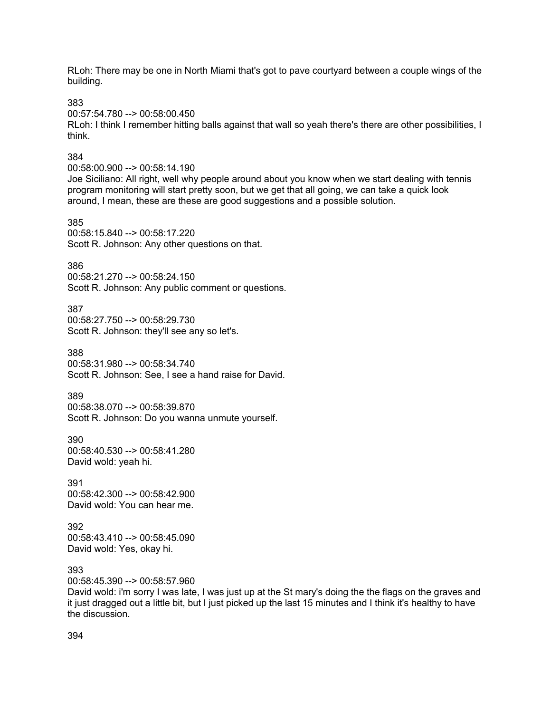RLoh: There may be one in North Miami that's got to pave courtyard between a couple wings of the building.

383

00:57:54.780 --> 00:58:00.450

RLoh: I think I remember hitting balls against that wall so yeah there's there are other possibilities, I think.

#### 384

00:58:00.900 --> 00:58:14.190

Joe Siciliano: All right, well why people around about you know when we start dealing with tennis program monitoring will start pretty soon, but we get that all going, we can take a quick look around, I mean, these are these are good suggestions and a possible solution.

385 00:58:15.840 --> 00:58:17.220 Scott R. Johnson: Any other questions on that.

386

00:58:21.270 --> 00:58:24.150 Scott R. Johnson: Any public comment or questions.

387 00:58:27.750 --> 00:58:29.730 Scott R. Johnson: they'll see any so let's.

388 00:58:31.980 --> 00:58:34.740 Scott R. Johnson: See, I see a hand raise for David.

389

00:58:38.070 --> 00:58:39.870 Scott R. Johnson: Do you wanna unmute yourself.

390 00:58:40.530 --> 00:58:41.280 David wold: yeah hi.

391 00:58:42.300 --> 00:58:42.900 David wold: You can hear me.

392 00:58:43.410 --> 00:58:45.090 David wold: Yes, okay hi.

393

00:58:45.390 --> 00:58:57.960

David wold: i'm sorry I was late, I was just up at the St mary's doing the the flags on the graves and it just dragged out a little bit, but I just picked up the last 15 minutes and I think it's healthy to have the discussion.

394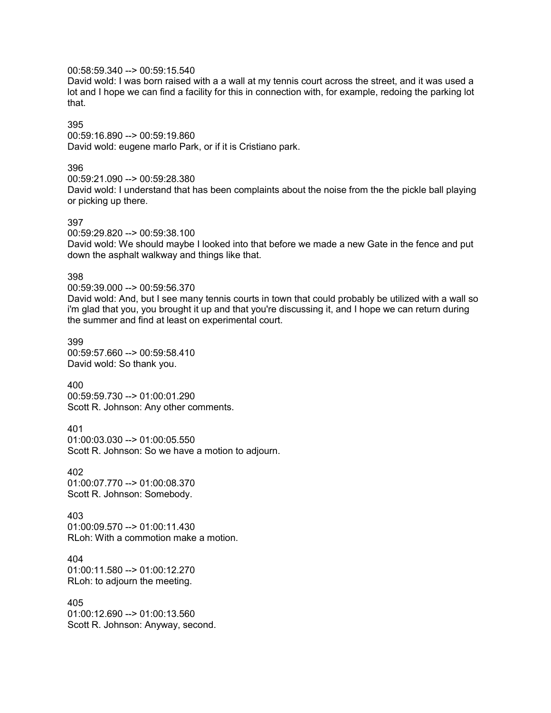00:58:59.340 --> 00:59:15.540

David wold: I was born raised with a a wall at my tennis court across the street, and it was used a lot and I hope we can find a facility for this in connection with, for example, redoing the parking lot that.

# 395

00:59:16.890 --> 00:59:19.860 David wold: eugene marlo Park, or if it is Cristiano park.

#### 396

00:59:21.090 --> 00:59:28.380 David wold: I understand that has been complaints about the noise from the the pickle ball playing or picking up there.

# 397

00:59:29.820 --> 00:59:38.100

David wold: We should maybe I looked into that before we made a new Gate in the fence and put down the asphalt walkway and things like that.

#### 398

00:59:39.000 --> 00:59:56.370

David wold: And, but I see many tennis courts in town that could probably be utilized with a wall so i'm glad that you, you brought it up and that you're discussing it, and I hope we can return during the summer and find at least on experimental court.

399 00:59:57.660 --> 00:59:58.410 David wold: So thank you.

400 00:59:59.730 --> 01:00:01.290 Scott R. Johnson: Any other comments.

401 01:00:03.030 --> 01:00:05.550 Scott R. Johnson: So we have a motion to adjourn.

402 01:00:07.770 --> 01:00:08.370 Scott R. Johnson: Somebody.

403  $01:00:09.570 \rightarrow 01:00:11.430$ RLoh: With a commotion make a motion.

404 01:00:11.580 --> 01:00:12.270 RLoh: to adjourn the meeting.

405 01:00:12.690 --> 01:00:13.560 Scott R. Johnson: Anyway, second.